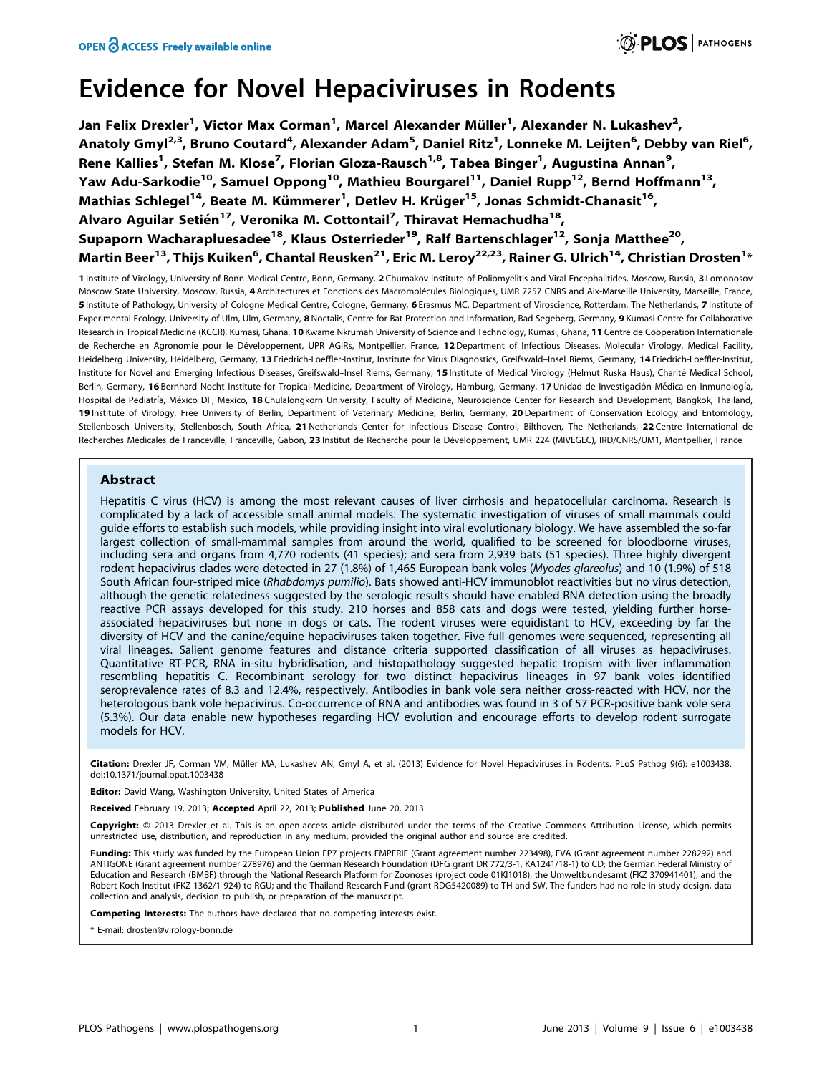# Evidence for Novel Hepaciviruses in Rodents

Jan Felix Drexler<sup>1</sup>, Victor Max Corman<sup>1</sup>, Marcel Alexander Müller<sup>1</sup>, Alexander N. Lukashev<sup>2</sup>, Anatoly Gmyl<sup>2,3</sup>, Bruno Coutard<sup>4</sup>, Alexander Adam<sup>5</sup>, Daniel Ritz<sup>1</sup>, Lonneke M. Leijten<sup>6</sup>, Debby van Riel<sup>6</sup>, Rene Kallies<sup>1</sup>, Stefan M. Klose<sup>7</sup>, Florian Gloza-Rausch<sup>1,8</sup>, Tabea Binger<sup>1</sup>, Augustina Annan<sup>9</sup>, Yaw Adu-Sarkodie<sup>10</sup>, Samuel Oppong<sup>10</sup>, Mathieu Bourgarel<sup>11</sup>, Daniel Rupp<sup>12</sup>, Bernd Hoffmann<sup>13</sup>, Mathias Schlegel<sup>14</sup>, Beate M. Kümmerer<sup>1</sup>, Detlev H. Krüger<sup>15</sup>, Jonas Schmidt-Chanasit<sup>16</sup>, Alvaro Aguilar Setién<sup>17</sup>, Veronika M. Cottontail<sup>7</sup>, Thiravat Hemachudha<sup>18</sup>, Supaporn Wacharapluesadee<sup>18</sup>, Klaus Osterrieder<sup>19</sup>, Ralf Bartenschlager<sup>12</sup>, Sonja Matthee<sup>20</sup>, Martin Beer<sup>13</sup>, Thijs Kuiken<sup>6</sup>, Chantal Reusken<sup>21</sup>, Eric M. Leroy<sup>22,23</sup>, Rainer G. Ulrich<sup>14</sup>, Christian Drosten<sup>1</sup>\*

1 Institute of Virology, University of Bonn Medical Centre, Bonn, Germany, 2 Chumakov Institute of Poliomyelitis and Viral Encephalitides, Moscow, Russia, 3 Lomonosov Moscow State University, Moscow, Russia, 4 Architectures et Fonctions des Macromolécules Biologiques, UMR 7257 CNRS and Aix-Marseille University, Marseille, France, 5 Institute of Pathology, University of Cologne Medical Centre, Cologne, Germany, 6 Erasmus MC, Department of Viroscience, Rotterdam, The Netherlands, 7 Institute of Experimental Ecology, University of Ulm, Ulm, Germany, 8 Noctalis, Centre for Bat Protection and Information, Bad Segeberg, Germany, 9 Kumasi Centre for Collaborative Research in Tropical Medicine (KCCR), Kumasi, Ghana, 10 Kwame Nkrumah University of Science and Technology, Kumasi, Ghana, 11 Centre de Cooperation Internationale de Recherche en Agronomie pour le Développement, UPR AGIRs, Montpellier, France, 12 Department of Infectious Diseases, Molecular Virology, Medical Facility, Heidelberg University, Heidelberg, Germany, 13 Friedrich-Loeffler-Institut, Institute for Virus Diagnostics, Greifswald-Insel Riems, Germany, 14 Friedrich-Loeffler-Institut, Institute for Novel and Emerging Infectious Diseases, Greifswald-Insel Riems, Germany, 15 Institute of Medical Virology (Helmut Ruska Haus), Charité Medical School, Berlin, Germany, 16 Bernhard Nocht Institute for Tropical Medicine, Department of Virology, Hamburg, Germany, 17 Unidad de Investigación Médica en Inmunología, Hospital de Pediatría, México DF, Mexico, 18 Chulalongkorn University, Faculty of Medicine, Neuroscience Center for Research and Development, Bangkok, Thailand, 19 Institute of Virology, Free University of Berlin, Department of Veterinary Medicine, Berlin, Germany, 20 Department of Conservation Ecology and Entomology, Stellenbosch University, Stellenbosch, South Africa, 21 Netherlands Center for Infectious Disease Control, Bilthoven, The Netherlands, 22 Centre International de Recherches Médicales de Franceville, Franceville, Gabon, 23 Institut de Recherche pour le Développement, UMR 224 (MIVEGEC), IRD/CNRS/UM1, Montpellier, France

# Abstract

Hepatitis C virus (HCV) is among the most relevant causes of liver cirrhosis and hepatocellular carcinoma. Research is complicated by a lack of accessible small animal models. The systematic investigation of viruses of small mammals could guide efforts to establish such models, while providing insight into viral evolutionary biology. We have assembled the so-far largest collection of small-mammal samples from around the world, qualified to be screened for bloodborne viruses, including sera and organs from 4,770 rodents (41 species); and sera from 2,939 bats (51 species). Three highly divergent rodent hepacivirus clades were detected in 27 (1.8%) of 1,465 European bank voles (Myodes glareolus) and 10 (1.9%) of 518 South African four-striped mice (Rhabdomys pumilio). Bats showed anti-HCV immunoblot reactivities but no virus detection, although the genetic relatedness suggested by the serologic results should have enabled RNA detection using the broadly reactive PCR assays developed for this study. 210 horses and 858 cats and dogs were tested, yielding further horseassociated hepaciviruses but none in dogs or cats. The rodent viruses were equidistant to HCV, exceeding by far the diversity of HCV and the canine/equine hepaciviruses taken together. Five full genomes were sequenced, representing all viral lineages. Salient genome features and distance criteria supported classification of all viruses as hepaciviruses. Quantitative RT-PCR, RNA in-situ hybridisation, and histopathology suggested hepatic tropism with liver inflammation resembling hepatitis C. Recombinant serology for two distinct hepacivirus lineages in 97 bank voles identified seroprevalence rates of 8.3 and 12.4%, respectively. Antibodies in bank vole sera neither cross-reacted with HCV, nor the heterologous bank vole hepacivirus. Co-occurrence of RNA and antibodies was found in 3 of 57 PCR-positive bank vole sera (5.3%). Our data enable new hypotheses regarding HCV evolution and encourage efforts to develop rodent surrogate models for HCV.

Citation: Drexler JF, Corman VM, Müller MA, Lukashev AN, Gmyl A, et al. (2013) Evidence for Novel Hepaciviruses in Rodents. PLoS Pathog 9(6): e1003438. doi:10.1371/journal.ppat.1003438

Editor: David Wang, Washington University, United States of America

Received February 19, 2013; Accepted April 22, 2013; Published June 20, 2013

**Copyright:** © 2013 Drexler et al. This is an open-access article distributed under the terms of the Creative Commons Attribution License, which permits unrestricted use, distribution, and reproduction in any medium, provided the original author and source are credited.

Funding: This study was funded by the European Union FP7 projects EMPERIE (Grant agreement number 223498), EVA (Grant agreement number 228292) and ANTIGONE (Grant agreement number 278976) and the German Research Foundation (DFG grant DR 772/3-1, KA1241/18-1) to CD; the German Federal Ministry of Education and Research (BMBF) through the National Research Platform for Zoonoses (project code 01KI1018), the Umweltbundesamt (FKZ 370941401), and the Robert Koch-Institut (FKZ 1362/1-924) to RGU; and the Thailand Research Fund (grant RDG5420089) to TH and SW. The funders had no role in study design, data collection and analysis, decision to publish, or preparation of the manuscript.

Competing Interests: The authors have declared that no competing interests exist.

\* E-mail: drosten@virology-bonn.de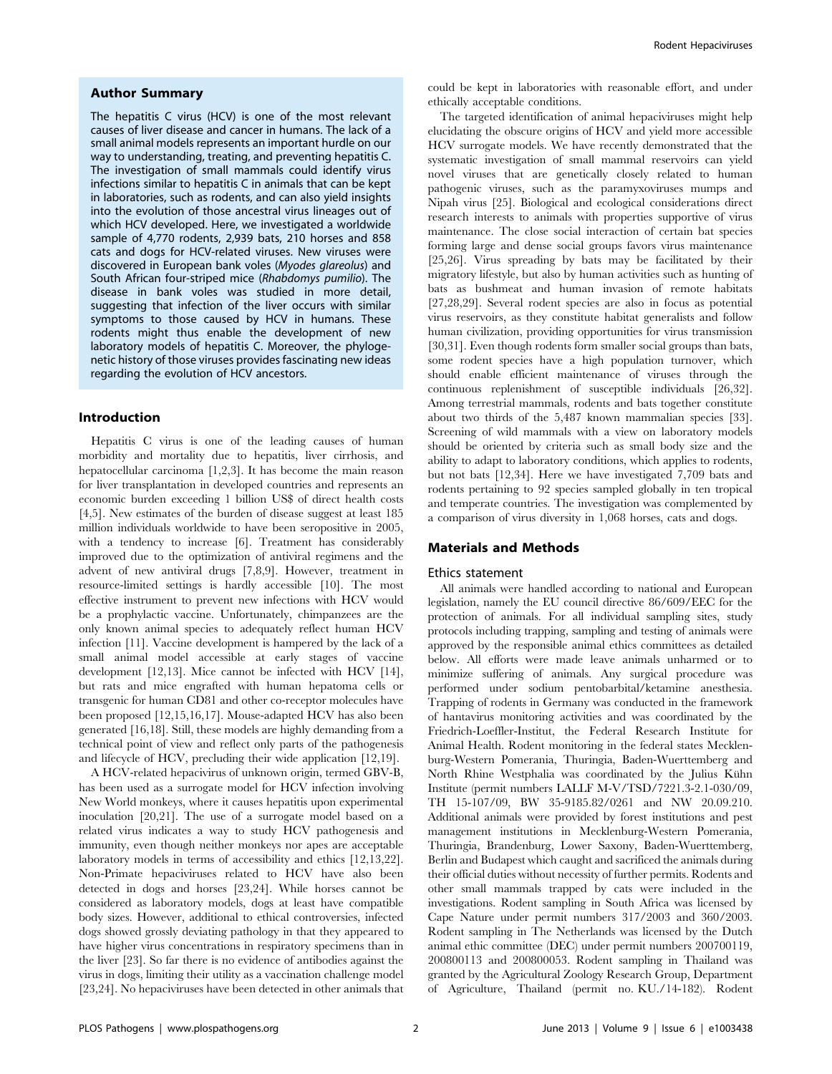## Author Summary

The hepatitis C virus (HCV) is one of the most relevant causes of liver disease and cancer in humans. The lack of a small animal models represents an important hurdle on our way to understanding, treating, and preventing hepatitis C. The investigation of small mammals could identify virus infections similar to hepatitis C in animals that can be kept in laboratories, such as rodents, and can also yield insights into the evolution of those ancestral virus lineages out of which HCV developed. Here, we investigated a worldwide sample of 4,770 rodents, 2,939 bats, 210 horses and 858 cats and dogs for HCV-related viruses. New viruses were discovered in European bank voles (Myodes glareolus) and South African four-striped mice (Rhabdomys pumilio). The disease in bank voles was studied in more detail, suggesting that infection of the liver occurs with similar symptoms to those caused by HCV in humans. These rodents might thus enable the development of new laboratory models of hepatitis C. Moreover, the phylogenetic history of those viruses provides fascinating new ideas regarding the evolution of HCV ancestors.

#### Introduction

Hepatitis C virus is one of the leading causes of human morbidity and mortality due to hepatitis, liver cirrhosis, and hepatocellular carcinoma [1,2,3]. It has become the main reason for liver transplantation in developed countries and represents an economic burden exceeding 1 billion US\$ of direct health costs [4,5]. New estimates of the burden of disease suggest at least 185 million individuals worldwide to have been seropositive in 2005, with a tendency to increase [6]. Treatment has considerably improved due to the optimization of antiviral regimens and the advent of new antiviral drugs [7,8,9]. However, treatment in resource-limited settings is hardly accessible [10]. The most effective instrument to prevent new infections with HCV would be a prophylactic vaccine. Unfortunately, chimpanzees are the only known animal species to adequately reflect human HCV infection [11]. Vaccine development is hampered by the lack of a small animal model accessible at early stages of vaccine development [12,13]. Mice cannot be infected with HCV [14], but rats and mice engrafted with human hepatoma cells or transgenic for human CD81 and other co-receptor molecules have been proposed [12,15,16,17]. Mouse-adapted HCV has also been generated [16,18]. Still, these models are highly demanding from a technical point of view and reflect only parts of the pathogenesis and lifecycle of HCV, precluding their wide application [12,19].

A HCV-related hepacivirus of unknown origin, termed GBV-B, has been used as a surrogate model for HCV infection involving New World monkeys, where it causes hepatitis upon experimental inoculation [20,21]. The use of a surrogate model based on a related virus indicates a way to study HCV pathogenesis and immunity, even though neither monkeys nor apes are acceptable laboratory models in terms of accessibility and ethics [12,13,22]. Non-Primate hepaciviruses related to HCV have also been detected in dogs and horses [23,24]. While horses cannot be considered as laboratory models, dogs at least have compatible body sizes. However, additional to ethical controversies, infected dogs showed grossly deviating pathology in that they appeared to have higher virus concentrations in respiratory specimens than in the liver [23]. So far there is no evidence of antibodies against the virus in dogs, limiting their utility as a vaccination challenge model [23,24]. No hepaciviruses have been detected in other animals that could be kept in laboratories with reasonable effort, and under ethically acceptable conditions.

The targeted identification of animal hepaciviruses might help elucidating the obscure origins of HCV and yield more accessible HCV surrogate models. We have recently demonstrated that the systematic investigation of small mammal reservoirs can yield novel viruses that are genetically closely related to human pathogenic viruses, such as the paramyxoviruses mumps and Nipah virus [25]. Biological and ecological considerations direct research interests to animals with properties supportive of virus maintenance. The close social interaction of certain bat species forming large and dense social groups favors virus maintenance [25,26]. Virus spreading by bats may be facilitated by their migratory lifestyle, but also by human activities such as hunting of bats as bushmeat and human invasion of remote habitats [27,28,29]. Several rodent species are also in focus as potential virus reservoirs, as they constitute habitat generalists and follow human civilization, providing opportunities for virus transmission [30,31]. Even though rodents form smaller social groups than bats, some rodent species have a high population turnover, which should enable efficient maintenance of viruses through the continuous replenishment of susceptible individuals [26,32]. Among terrestrial mammals, rodents and bats together constitute about two thirds of the 5,487 known mammalian species [33]. Screening of wild mammals with a view on laboratory models should be oriented by criteria such as small body size and the ability to adapt to laboratory conditions, which applies to rodents, but not bats [12,34]. Here we have investigated 7,709 bats and rodents pertaining to 92 species sampled globally in ten tropical and temperate countries. The investigation was complemented by a comparison of virus diversity in 1,068 horses, cats and dogs.

## Materials and Methods

#### Ethics statement

All animals were handled according to national and European legislation, namely the EU council directive 86/609/EEC for the protection of animals. For all individual sampling sites, study protocols including trapping, sampling and testing of animals were approved by the responsible animal ethics committees as detailed below. All efforts were made leave animals unharmed or to minimize suffering of animals. Any surgical procedure was performed under sodium pentobarbital/ketamine anesthesia. Trapping of rodents in Germany was conducted in the framework of hantavirus monitoring activities and was coordinated by the Friedrich-Loeffler-Institut, the Federal Research Institute for Animal Health. Rodent monitoring in the federal states Mecklenburg-Western Pomerania, Thuringia, Baden-Wuerttemberg and North Rhine Westphalia was coordinated by the Julius Kühn Institute (permit numbers LALLF M-V/TSD/7221.3-2.1-030/09, TH 15-107/09, BW 35-9185.82/0261 and NW 20.09.210. Additional animals were provided by forest institutions and pest management institutions in Mecklenburg-Western Pomerania, Thuringia, Brandenburg, Lower Saxony, Baden-Wuerttemberg, Berlin and Budapest which caught and sacrificed the animals during their official duties without necessity of further permits. Rodents and other small mammals trapped by cats were included in the investigations. Rodent sampling in South Africa was licensed by Cape Nature under permit numbers 317/2003 and 360/2003. Rodent sampling in The Netherlands was licensed by the Dutch animal ethic committee (DEC) under permit numbers 200700119, 200800113 and 200800053. Rodent sampling in Thailand was granted by the Agricultural Zoology Research Group, Department of Agriculture, Thailand (permit no. KU./14-182). Rodent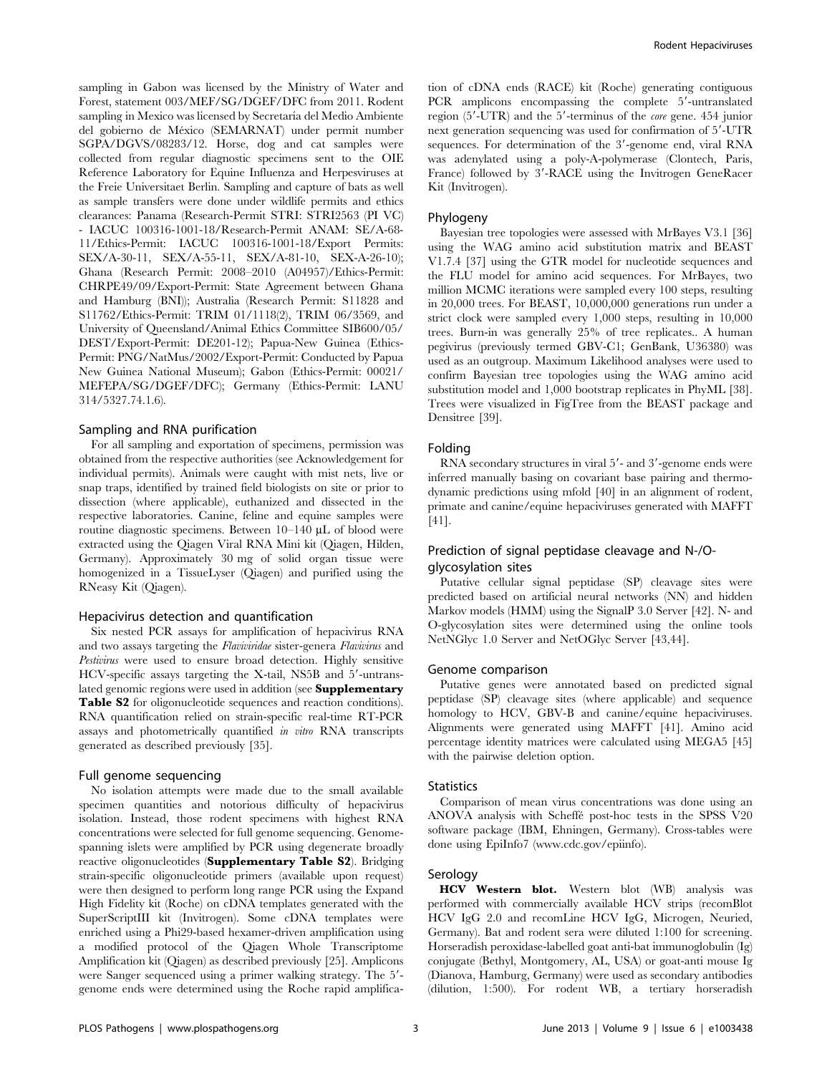sampling in Gabon was licensed by the Ministry of Water and Forest, statement 003/MEF/SG/DGEF/DFC from 2011. Rodent sampling in Mexico was licensed by Secretaría del Medio Ambiente del gobierno de México (SEMARNAT) under permit number SGPA/DGVS/08283/12. Horse, dog and cat samples were collected from regular diagnostic specimens sent to the OIE Reference Laboratory for Equine Influenza and Herpesviruses at the Freie Universitaet Berlin. Sampling and capture of bats as well as sample transfers were done under wildlife permits and ethics clearances: Panama (Research-Permit STRI: STRI2563 (PI VC) - IACUC 100316-1001-18/Research-Permit ANAM: SE/A-68- 11/Ethics-Permit: IACUC 100316-1001-18/Export Permits: SEX/A-30-11, SEX/A-55-11, SEX/A-81-10, SEX-A-26-10); Ghana (Research Permit: 2008–2010 (A04957)/Ethics-Permit: CHRPE49/09/Export-Permit: State Agreement between Ghana and Hamburg (BNI)); Australia (Research Permit: S11828 and S11762/Ethics-Permit: TRIM 01/1118(2), TRIM 06/3569, and University of Queensland/Animal Ethics Committee SIB600/05/ DEST/Export-Permit: DE201-12); Papua-New Guinea (Ethics-Permit: PNG/NatMus/2002/Export-Permit: Conducted by Papua New Guinea National Museum); Gabon (Ethics-Permit: 00021/ MEFEPA/SG/DGEF/DFC); Germany (Ethics-Permit: LANU 314/5327.74.1.6).

## Sampling and RNA purification

For all sampling and exportation of specimens, permission was obtained from the respective authorities (see Acknowledgement for individual permits). Animals were caught with mist nets, live or snap traps, identified by trained field biologists on site or prior to dissection (where applicable), euthanized and dissected in the respective laboratories. Canine, feline and equine samples were routine diagnostic specimens. Between  $10-140 \mu L$  of blood were extracted using the Qiagen Viral RNA Mini kit (Qiagen, Hilden, Germany). Approximately 30 mg of solid organ tissue were homogenized in a TissueLyser (Qiagen) and purified using the RNeasy Kit (Qiagen).

## Hepacivirus detection and quantification

Six nested PCR assays for amplification of hepacivirus RNA and two assays targeting the Flaviviridae sister-genera Flavivirus and Pestivirus were used to ensure broad detection. Highly sensitive HCV-specific assays targeting the X-tail, NS5B and 5'-untranslated genomic regions were used in addition (see Supplementary Table S2 for oligonucleotide sequences and reaction conditions). RNA quantification relied on strain-specific real-time RT-PCR assays and photometrically quantified in vitro RNA transcripts generated as described previously [35].

#### Full genome sequencing

No isolation attempts were made due to the small available specimen quantities and notorious difficulty of hepacivirus isolation. Instead, those rodent specimens with highest RNA concentrations were selected for full genome sequencing. Genomespanning islets were amplified by PCR using degenerate broadly reactive oligonucleotides (Supplementary Table S2). Bridging strain-specific oligonucleotide primers (available upon request) were then designed to perform long range PCR using the Expand High Fidelity kit (Roche) on cDNA templates generated with the SuperScriptIII kit (Invitrogen). Some cDNA templates were enriched using a Phi29-based hexamer-driven amplification using a modified protocol of the Qiagen Whole Transcriptome Amplification kit (Qiagen) as described previously [25]. Amplicons were Sanger sequenced using a primer walking strategy. The 5'genome ends were determined using the Roche rapid amplification of cDNA ends (RACE) kit (Roche) generating contiguous PCR amplicons encompassing the complete 5'-untranslated region  $(5'-UTR)$  and the  $5'-terminus$  of the *core* gene.  $454$  junior next generation sequencing was used for confirmation of 5'-UTR sequences. For determination of the 3'-genome end, viral RNA was adenylated using a poly-A-polymerase (Clontech, Paris, France) followed by 3'-RACE using the Invitrogen GeneRacer Kit (Invitrogen).

## Phylogeny

Bayesian tree topologies were assessed with MrBayes V3.1 [36] using the WAG amino acid substitution matrix and BEAST V1.7.4 [37] using the GTR model for nucleotide sequences and the FLU model for amino acid sequences. For MrBayes, two million MCMC iterations were sampled every 100 steps, resulting in 20,000 trees. For BEAST, 10,000,000 generations run under a strict clock were sampled every 1,000 steps, resulting in 10,000 trees. Burn-in was generally 25% of tree replicates.. A human pegivirus (previously termed GBV-C1; GenBank, U36380) was used as an outgroup. Maximum Likelihood analyses were used to confirm Bayesian tree topologies using the WAG amino acid substitution model and 1,000 bootstrap replicates in PhyML [38]. Trees were visualized in FigTree from the BEAST package and Densitree [39].

### Folding

RNA secondary structures in viral 5'- and 3'-genome ends were inferred manually basing on covariant base pairing and thermodynamic predictions using mfold [40] in an alignment of rodent, primate and canine/equine hepaciviruses generated with MAFFT [41].

# Prediction of signal peptidase cleavage and N-/Oglycosylation sites

Putative cellular signal peptidase (SP) cleavage sites were predicted based on artificial neural networks (NN) and hidden Markov models (HMM) using the SignalP 3.0 Server [42]. N- and O-glycosylation sites were determined using the online tools NetNGlyc 1.0 Server and NetOGlyc Server [43,44].

#### Genome comparison

Putative genes were annotated based on predicted signal peptidase (SP) cleavage sites (where applicable) and sequence homology to HCV, GBV-B and canine/equine hepaciviruses. Alignments were generated using MAFFT [41]. Amino acid percentage identity matrices were calculated using MEGA5 [45] with the pairwise deletion option.

## **Statistics**

Comparison of mean virus concentrations was done using an ANOVA analysis with Scheffe´ post-hoc tests in the SPSS V20 software package (IBM, Ehningen, Germany). Cross-tables were done using EpiInfo7 (www.cdc.gov/epiinfo).

#### Serology

HCV Western blot. Western blot (WB) analysis was performed with commercially available HCV strips (recomBlot HCV IgG 2.0 and recomLine HCV IgG, Microgen, Neuried, Germany). Bat and rodent sera were diluted 1:100 for screening. Horseradish peroxidase-labelled goat anti-bat immunoglobulin (Ig) conjugate (Bethyl, Montgomery, AL, USA) or goat-anti mouse Ig (Dianova, Hamburg, Germany) were used as secondary antibodies (dilution, 1:500). For rodent WB, a tertiary horseradish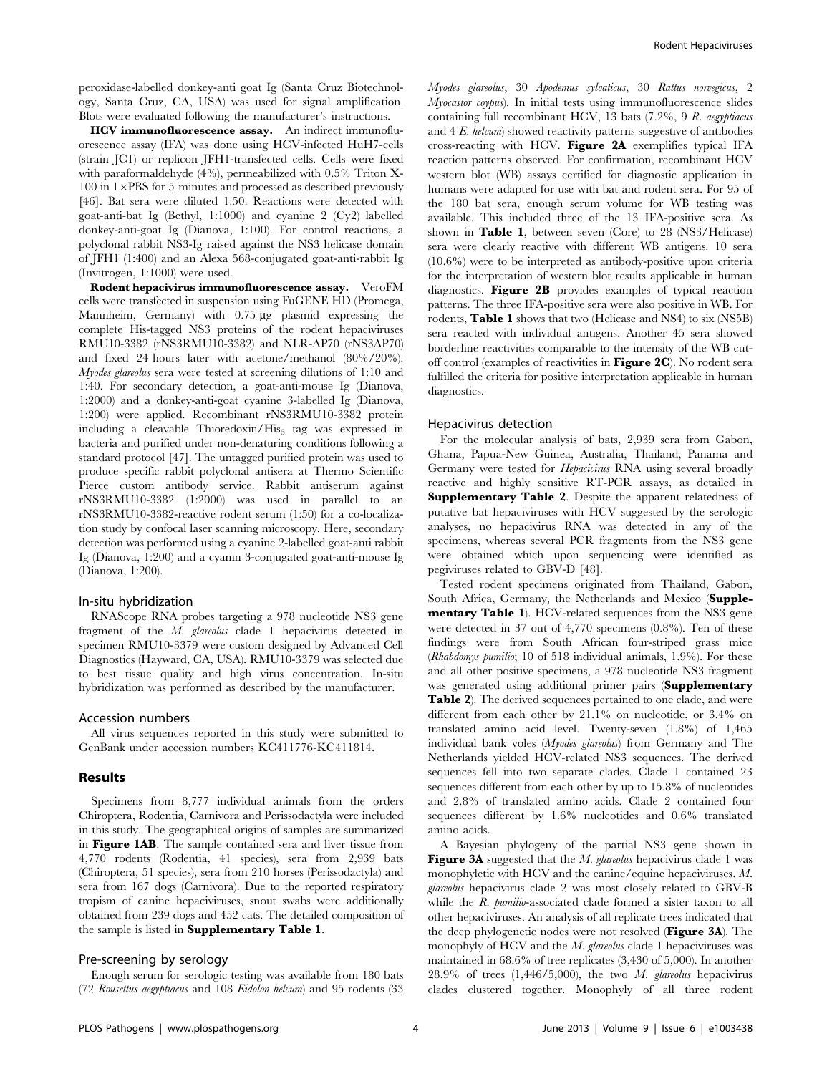peroxidase-labelled donkey-anti goat Ig (Santa Cruz Biotechnology, Santa Cruz, CA, USA) was used for signal amplification. Blots were evaluated following the manufacturer's instructions.

HCV immunofluorescence assay. An indirect immunofluorescence assay (IFA) was done using HCV-infected HuH7-cells (strain JC1) or replicon JFH1-transfected cells. Cells were fixed with paraformaldehyde (4%), permeabilized with 0.5% Triton X- $100$  in  $1\times$ PBS for 5 minutes and processed as described previously [46]. Bat sera were diluted 1:50. Reactions were detected with goat-anti-bat Ig (Bethyl, 1:1000) and cyanine 2 (Cy2)–labelled donkey-anti-goat Ig (Dianova, 1:100). For control reactions, a polyclonal rabbit NS3-Ig raised against the NS3 helicase domain of JFH1 (1:400) and an Alexa 568-conjugated goat-anti-rabbit Ig (Invitrogen, 1:1000) were used.

Rodent hepacivirus immunofluorescence assay. VeroFM cells were transfected in suspension using FuGENE HD (Promega, Mannheim, Germany) with  $0.75 \mu$ g plasmid expressing the complete His-tagged NS3 proteins of the rodent hepaciviruses RMU10-3382 (rNS3RMU10-3382) and NLR-AP70 (rNS3AP70) and fixed 24 hours later with acetone/methanol (80%/20%). Myodes glareolus sera were tested at screening dilutions of 1:10 and 1:40. For secondary detection, a goat-anti-mouse Ig (Dianova, 1:2000) and a donkey-anti-goat cyanine 3-labelled Ig (Dianova, 1:200) were applied. Recombinant rNS3RMU10-3382 protein including a cleavable Thioredoxin/ $His<sub>6</sub>$  tag was expressed in bacteria and purified under non-denaturing conditions following a standard protocol [47]. The untagged purified protein was used to produce specific rabbit polyclonal antisera at Thermo Scientific Pierce custom antibody service. Rabbit antiserum against rNS3RMU10-3382 (1:2000) was used in parallel to an rNS3RMU10-3382-reactive rodent serum (1:50) for a co-localization study by confocal laser scanning microscopy. Here, secondary detection was performed using a cyanine 2-labelled goat-anti rabbit Ig (Dianova, 1:200) and a cyanin 3-conjugated goat-anti-mouse Ig (Dianova, 1:200).

#### In-situ hybridization

RNAScope RNA probes targeting a 978 nucleotide NS3 gene fragment of the M. glareolus clade 1 hepacivirus detected in specimen RMU10-3379 were custom designed by Advanced Cell Diagnostics (Hayward, CA, USA). RMU10-3379 was selected due to best tissue quality and high virus concentration. In-situ hybridization was performed as described by the manufacturer.

#### Accession numbers

All virus sequences reported in this study were submitted to GenBank under accession numbers KC411776-KC411814.

## Results

Specimens from 8,777 individual animals from the orders Chiroptera, Rodentia, Carnivora and Perissodactyla were included in this study. The geographical origins of samples are summarized in Figure 1AB. The sample contained sera and liver tissue from 4,770 rodents (Rodentia, 41 species), sera from 2,939 bats (Chiroptera, 51 species), sera from 210 horses (Perissodactyla) and sera from 167 dogs (Carnivora). Due to the reported respiratory tropism of canine hepaciviruses, snout swabs were additionally obtained from 239 dogs and 452 cats. The detailed composition of the sample is listed in **Supplementary Table 1**.

## Pre-screening by serology

Enough serum for serologic testing was available from 180 bats (72 Rousettus aegyptiacus and 108 Eidolon helvum) and 95 rodents (33

Myodes glareolus, 30 Apodemus sylvaticus, 30 Rattus norvegicus, 2 Myocastor coypus). In initial tests using immunofluorescence slides containing full recombinant HCV, 13 bats (7.2%, 9 R. aegyptiacus and  $4 E.$  helvum) showed reactivity patterns suggestive of antibodies cross-reacting with HCV. Figure 2A exemplifies typical IFA reaction patterns observed. For confirmation, recombinant HCV western blot (WB) assays certified for diagnostic application in humans were adapted for use with bat and rodent sera. For 95 of the 180 bat sera, enough serum volume for WB testing was available. This included three of the 13 IFA-positive sera. As shown in Table 1, between seven (Core) to 28 (NS3/Helicase) sera were clearly reactive with different WB antigens. 10 sera (10.6%) were to be interpreted as antibody-positive upon criteria for the interpretation of western blot results applicable in human diagnostics. Figure 2B provides examples of typical reaction patterns. The three IFA-positive sera were also positive in WB. For rodents, Table 1 shows that two (Helicase and NS4) to six (NS5B) sera reacted with individual antigens. Another 45 sera showed borderline reactivities comparable to the intensity of the WB cutoff control (examples of reactivities in Figure 2C). No rodent sera fulfilled the criteria for positive interpretation applicable in human diagnostics.

#### Hepacivirus detection

For the molecular analysis of bats, 2,939 sera from Gabon, Ghana, Papua-New Guinea, Australia, Thailand, Panama and Germany were tested for Hepacivirus RNA using several broadly reactive and highly sensitive RT-PCR assays, as detailed in Supplementary Table 2. Despite the apparent relatedness of putative bat hepaciviruses with HCV suggested by the serologic analyses, no hepacivirus RNA was detected in any of the specimens, whereas several PCR fragments from the NS3 gene were obtained which upon sequencing were identified as pegiviruses related to GBV-D [48].

Tested rodent specimens originated from Thailand, Gabon, South Africa, Germany, the Netherlands and Mexico (Supplementary Table 1). HCV-related sequences from the NS3 gene were detected in 37 out of 4,770 specimens (0.8%). Ten of these findings were from South African four-striped grass mice (Rhabdomys pumilio; 10 of 518 individual animals, 1.9%). For these and all other positive specimens, a 978 nucleotide NS3 fragment was generated using additional primer pairs (Supplementary Table 2). The derived sequences pertained to one clade, and were different from each other by 21.1% on nucleotide, or 3.4% on translated amino acid level. Twenty-seven (1.8%) of 1,465 individual bank voles (Myodes glareolus) from Germany and The Netherlands yielded HCV-related NS3 sequences. The derived sequences fell into two separate clades. Clade 1 contained 23 sequences different from each other by up to 15.8% of nucleotides and 2.8% of translated amino acids. Clade 2 contained four sequences different by 1.6% nucleotides and 0.6% translated amino acids.

A Bayesian phylogeny of the partial NS3 gene shown in Figure 3A suggested that the  $M$ . glareolus hepacivirus clade 1 was monophyletic with HCV and the canine/equine hepaciviruses. M. glareolus hepacivirus clade 2 was most closely related to GBV-B while the R. pumilio-associated clade formed a sister taxon to all other hepaciviruses. An analysis of all replicate trees indicated that the deep phylogenetic nodes were not resolved (Figure 3A). The monophyly of HCV and the M. glareolus clade 1 hepaciviruses was maintained in 68.6% of tree replicates (3,430 of 5,000). In another  $28.9\%$  of trees (1,446/5,000), the two M. glareolus hepacivirus clades clustered together. Monophyly of all three rodent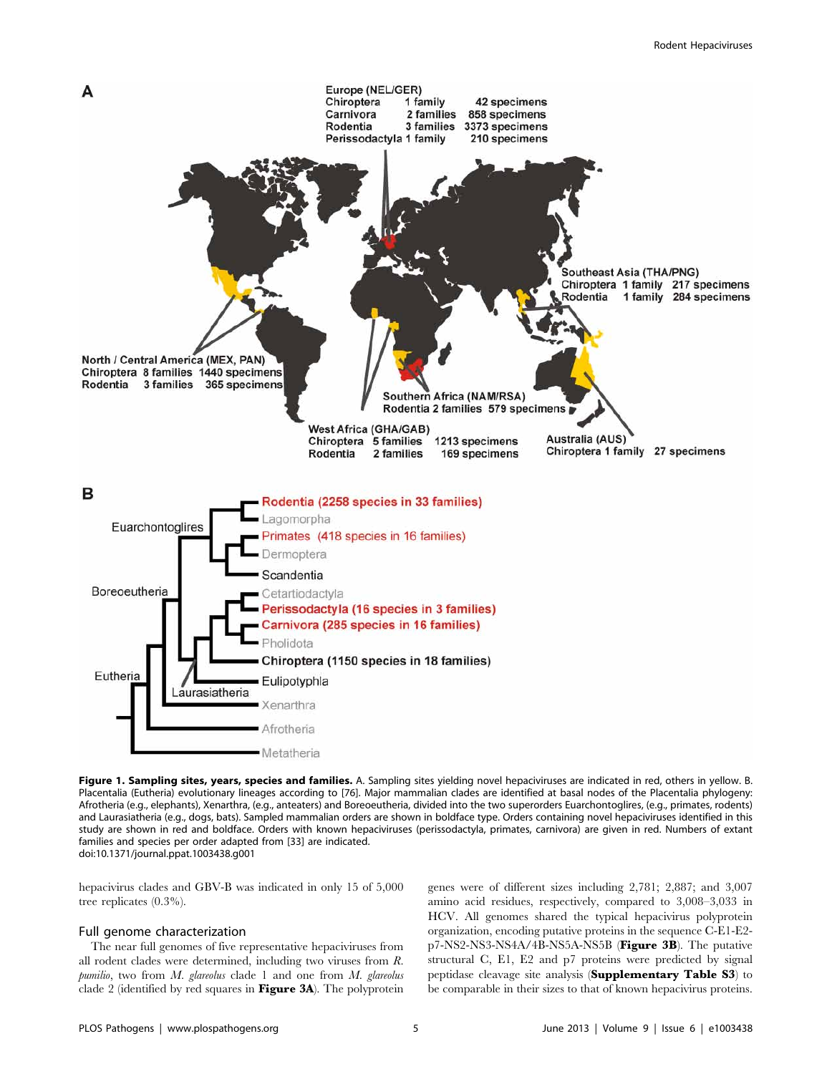

Figure 1. Sampling sites, years, species and families. A. Sampling sites yielding novel hepaciviruses are indicated in red, others in yellow. B. Placentalia (Eutheria) evolutionary lineages according to [76]. Major mammalian clades are identified at basal nodes of the Placentalia phylogeny: Afrotheria (e.g., elephants), Xenarthra, (e.g., anteaters) and Boreoeutheria, divided into the two superorders Euarchontoglires, (e.g., primates, rodents) and Laurasiatheria (e.g., dogs, bats). Sampled mammalian orders are shown in boldface type. Orders containing novel hepaciviruses identified in this study are shown in red and boldface. Orders with known hepaciviruses (perissodactyla, primates, carnivora) are given in red. Numbers of extant families and species per order adapted from [33] are indicated. doi:10.1371/journal.ppat.1003438.g001

hepacivirus clades and GBV-B was indicated in only 15 of 5,000 tree replicates (0.3%).

## Full genome characterization

The near full genomes of five representative hepaciviruses from all rodent clades were determined, including two viruses from R. pumilio, two from  $M$ . glareolus clade 1 and one from  $M$ . glareolus clade 2 (identified by red squares in Figure 3A). The polyprotein genes were of different sizes including 2,781; 2,887; and 3,007 amino acid residues, respectively, compared to 3,008–3,033 in HCV. All genomes shared the typical hepacivirus polyprotein organization, encoding putative proteins in the sequence C-E1-E2 p7-NS2-NS3-NS4A/4B-NS5A-NS5B (Figure 3B). The putative structural C, E1, E2 and p7 proteins were predicted by signal peptidase cleavage site analysis (Supplementary Table S3) to be comparable in their sizes to that of known hepacivirus proteins.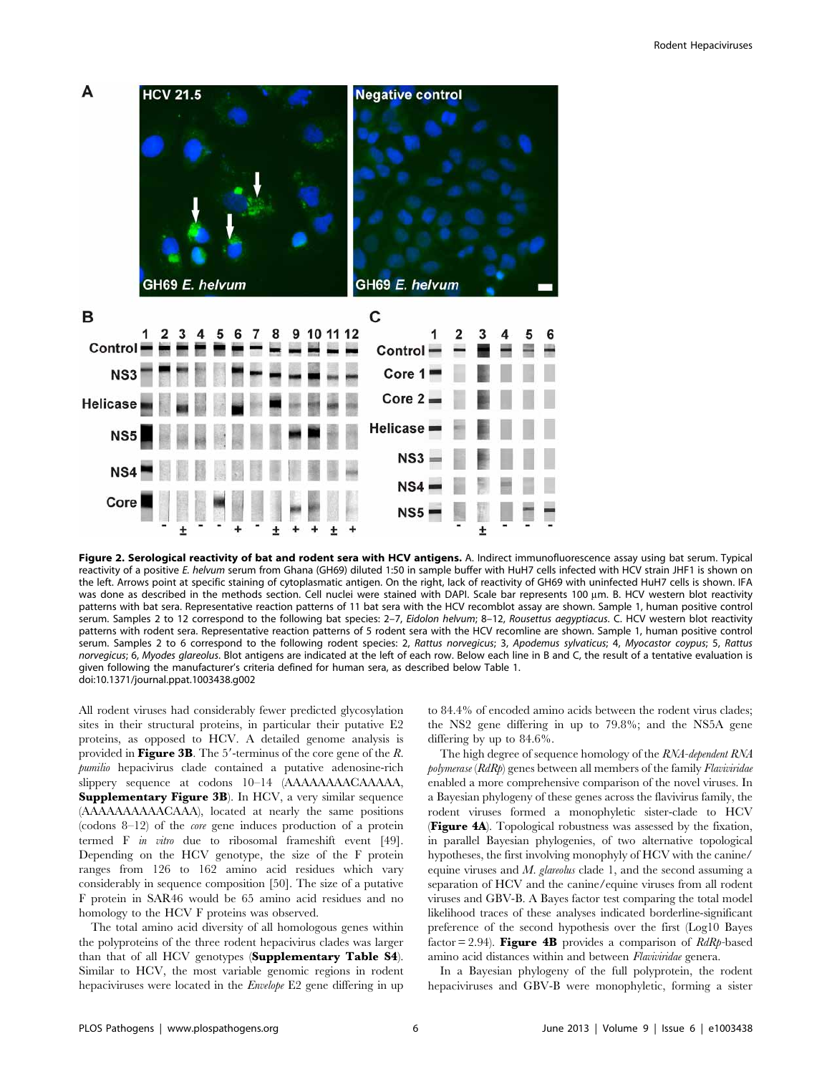

Figure 2. Serological reactivity of bat and rodent sera with HCV antigens. A. Indirect immunofluorescence assay using bat serum. Typical reactivity of a positive E. helvum serum from Ghana (GH69) diluted 1:50 in sample buffer with HuH7 cells infected with HCV strain JHF1 is shown on the left. Arrows point at specific staining of cytoplasmatic antigen. On the right, lack of reactivity of GH69 with uninfected HuH7 cells is shown. IFA was done as described in the methods section. Cell nuclei were stained with DAPI. Scale bar represents 100 µm. B. HCV western blot reactivity patterns with bat sera. Representative reaction patterns of 11 bat sera with the HCV recomblot assay are shown. Sample 1, human positive control serum. Samples 2 to 12 correspond to the following bat species: 2-7, Eidolon helvum; 8-12, Rousettus aegyptiacus. C. HCV western blot reactivity patterns with rodent sera. Representative reaction patterns of 5 rodent sera with the HCV recomline are shown. Sample 1, human positive control serum. Samples 2 to 6 correspond to the following rodent species: 2, Rattus norvegicus; 3, Apodemus sylvaticus; 4, Myocastor coypus; 5, Rattus norvegicus; 6, Myodes glareolus. Blot antigens are indicated at the left of each row. Below each line in B and C, the result of a tentative evaluation is given following the manufacturer's criteria defined for human sera, as described below Table 1. doi:10.1371/journal.ppat.1003438.g002

All rodent viruses had considerably fewer predicted glycosylation sites in their structural proteins, in particular their putative E2 proteins, as opposed to HCV. A detailed genome analysis is provided in Figure 3B. The  $5'$ -terminus of the core gene of the  $R$ . pumilio hepacivirus clade contained a putative adenosine-rich slippery sequence at codons 10–14 (AAAAAAAACAAAAA, Supplementary Figure 3B). In HCV, a very similar sequence (AAAAAAAAAACAAA), located at nearly the same positions (codons 8–12) of the core gene induces production of a protein termed F in vitro due to ribosomal frameshift event [49]. Depending on the HCV genotype, the size of the F protein ranges from 126 to 162 amino acid residues which vary considerably in sequence composition [50]. The size of a putative F protein in SAR46 would be 65 amino acid residues and no homology to the HCV F proteins was observed.

The total amino acid diversity of all homologous genes within the polyproteins of the three rodent hepacivirus clades was larger than that of all HCV genotypes (Supplementary Table S4). Similar to HCV, the most variable genomic regions in rodent hepaciviruses were located in the Envelope E2 gene differing in up to 84.4% of encoded amino acids between the rodent virus clades; the NS2 gene differing in up to 79.8%; and the NS5A gene differing by up to 84.6%.

The high degree of sequence homology of the RNA-dependent RNA polymerase (RdRp) genes between all members of the family Flaviviridae enabled a more comprehensive comparison of the novel viruses. In a Bayesian phylogeny of these genes across the flavivirus family, the rodent viruses formed a monophyletic sister-clade to HCV (Figure 4A). Topological robustness was assessed by the fixation, in parallel Bayesian phylogenies, of two alternative topological hypotheses, the first involving monophyly of HCV with the canine/ equine viruses and M. glareolus clade 1, and the second assuming a separation of HCV and the canine/equine viruses from all rodent viruses and GBV-B. A Bayes factor test comparing the total model likelihood traces of these analyses indicated borderline-significant preference of the second hypothesis over the first (Log10 Bayes factor = 2.94). **Figure 4B** provides a comparison of  $RdRp$ -based amino acid distances within and between Flaviviridae genera.

In a Bayesian phylogeny of the full polyprotein, the rodent hepaciviruses and GBV-B were monophyletic, forming a sister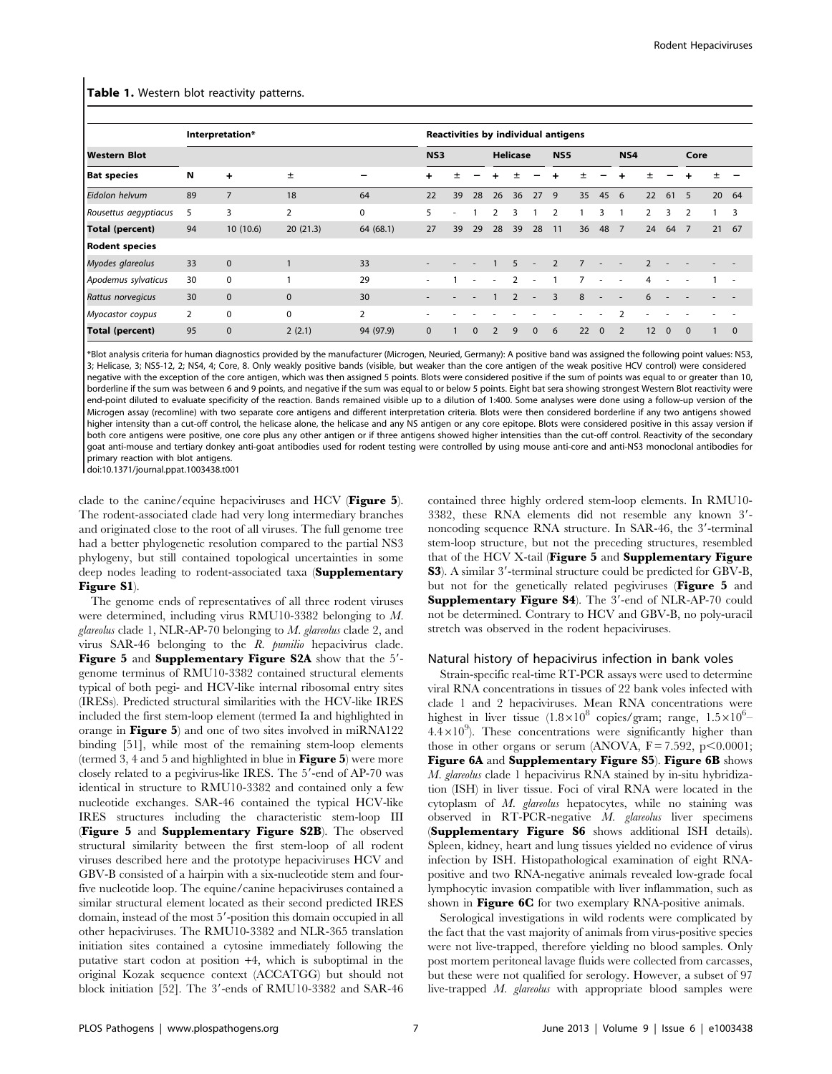#### Table 1. Western blot reactivity patterns.

|                        | Interpretation* |                |                |                |                          | Reactivities by individual antigens |          |                 |                |                          |                 |                |          |                |                |              |              |    |                          |
|------------------------|-----------------|----------------|----------------|----------------|--------------------------|-------------------------------------|----------|-----------------|----------------|--------------------------|-----------------|----------------|----------|----------------|----------------|--------------|--------------|----|--------------------------|
| <b>Western Blot</b>    |                 |                |                |                | NS <sub>3</sub>          |                                     |          | <b>Helicase</b> |                |                          | NS <sub>5</sub> |                |          | NS4            |                |              | Core         |    |                          |
| <b>Bat species</b>     | N               | $\ddot{}$      | ±              |                | +                        | +                                   |          |                 |                |                          |                 |                |          |                |                |              |              |    |                          |
| Eidolon helvum         | 89              | $\overline{7}$ | 18             | 64             | 22                       | 39                                  | 28       | 26              | 36             | 27                       | 9               | 35             | 45       | 6              | 22             | 61           | 5            |    | 20 64                    |
| Rousettus aegyptiacus  | 5               | 3              | $\overline{2}$ | 0              | 5                        | ۰                                   |          | 2               | 3              |                          | 2               |                | 3        |                | $\overline{2}$ | 3            | 2            | 1  | 3                        |
| <b>Total (percent)</b> | 94              | 10(10.6)       | 20(21.3)       | 64 (68.1)      | 27                       | 39                                  | 29       | 28              | 39             | 28                       | 11              | 36             | 48       | $\overline{7}$ | 24             | 64           | 7            | 21 | 67                       |
| <b>Rodent species</b>  |                 |                |                |                |                          |                                     |          |                 |                |                          |                 |                |          |                |                |              |              |    |                          |
| Myodes glareolus       | 33              | $\mathbf{0}$   |                | 33             | $\overline{\phantom{a}}$ |                                     |          |                 | 5              |                          | $\overline{2}$  | $\overline{7}$ |          |                | $\overline{2}$ |              |              |    |                          |
| Apodemus sylvaticus    | 30              | 0              |                | 29             | ۰                        |                                     |          | ٠               | $\overline{2}$ | $\overline{\phantom{a}}$ |                 |                |          | $\overline{a}$ | 4              |              |              |    | $\overline{\phantom{a}}$ |
| Rattus norvegicus      | 30              | $\mathbf 0$    | $\mathbf{0}$   | 30             |                          |                                     |          |                 | $\overline{2}$ |                          | 3               | 8              |          |                | 6              |              |              |    |                          |
| Myocastor coypus       | $\overline{2}$  | $\mathbf 0$    | $\mathbf 0$    | $\overline{2}$ | ۰                        |                                     |          |                 |                |                          |                 |                |          |                |                |              |              |    |                          |
| Total (percent)        | 95              | $\mathbf 0$    | 2(2.1)         | 94 (97.9)      | $\mathbf{0}$             |                                     | $\Omega$ | $\overline{2}$  | 9              | $\mathbf{0}$             | 6               | 22             | $\Omega$ | 2              | 12             | $\mathbf{0}$ | $\mathbf{0}$ |    | $\mathbf{0}$             |

\*Blot analysis criteria for human diagnostics provided by the manufacturer (Microgen, Neuried, Germany): A positive band was assigned the following point values: NS3, 3; Helicase, 3; NS5-12, 2; NS4, 4; Core, 8. Only weakly positive bands (visible, but weaker than the core antigen of the weak positive HCV control) were considered negative with the exception of the core antigen, which was then assigned 5 points. Blots were considered positive if the sum of points was equal to or greater than 10, borderline if the sum was between 6 and 9 points, and negative if the sum was equal to or below 5 points. Eight bat sera showing strongest Western Blot reactivity were end-point diluted to evaluate specificity of the reaction. Bands remained visible up to a dilution of 1:400. Some analyses were done using a follow-up version of the Microgen assay (recomline) with two separate core antigens and different interpretation criteria. Blots were then considered borderline if any two antigens showed higher intensity than a cut-off control, the helicase alone, the helicase and any NS antigen or any core epitope. Blots were considered positive in this assay version if both core antigens were positive, one core plus any other antigen or if three antigens showed higher intensities than the cut-off control. Reactivity of the secondary goat anti-mouse and tertiary donkey anti-goat antibodies used for rodent testing were controlled by using mouse anti-core and anti-NS3 monoclonal antibodies for primary reaction with blot antigens.

doi:10.1371/journal.ppat.1003438.t001

clade to the canine/equine hepaciviruses and HCV (Figure 5). The rodent-associated clade had very long intermediary branches and originated close to the root of all viruses. The full genome tree had a better phylogenetic resolution compared to the partial NS3 phylogeny, but still contained topological uncertainties in some deep nodes leading to rodent-associated taxa (Supplementary Figure S1).

The genome ends of representatives of all three rodent viruses were determined, including virus RMU10-3382 belonging to M. glareolus clade 1, NLR-AP-70 belonging to M. glareolus clade 2, and virus SAR-46 belonging to the R. pumilio hepacivirus clade. Figure 5 and Supplementary Figure S2A show that the 5'genome terminus of RMU10-3382 contained structural elements typical of both pegi- and HCV-like internal ribosomal entry sites (IRESs). Predicted structural similarities with the HCV-like IRES included the first stem-loop element (termed Ia and highlighted in orange in **Figure 5**) and one of two sites involved in miRNA122 binding [51], while most of the remaining stem-loop elements (termed 3, 4 and 5 and highlighted in blue in **Figure 5**) were more closely related to a pegivirus-like IRES. The 5'-end of AP-70 was identical in structure to RMU10-3382 and contained only a few nucleotide exchanges. SAR-46 contained the typical HCV-like IRES structures including the characteristic stem-loop III (Figure 5 and Supplementary Figure S2B). The observed structural similarity between the first stem-loop of all rodent viruses described here and the prototype hepaciviruses HCV and GBV-B consisted of a hairpin with a six-nucleotide stem and fourfive nucleotide loop. The equine/canine hepaciviruses contained a similar structural element located as their second predicted IRES domain, instead of the most 5'-position this domain occupied in all other hepaciviruses. The RMU10-3382 and NLR-365 translation initiation sites contained a cytosine immediately following the putative start codon at position +4, which is suboptimal in the original Kozak sequence context (ACCATGG) but should not block initiation [52]. The 3'-ends of RMU10-3382 and SAR-46 contained three highly ordered stem-loop elements. In RMU10- 3382, these RNA elements did not resemble any known 3'noncoding sequence RNA structure. In SAR-46, the 3'-terminal stem-loop structure, but not the preceding structures, resembled that of the HCV X-tail (Figure 5 and Supplementary Figure **S3**). A similar 3'-terminal structure could be predicted for GBV-B, but not for the genetically related pegiviruses (Figure 5 and Supplementary Figure S4). The 3'-end of NLR-AP-70 could not be determined. Contrary to HCV and GBV-B, no poly-uracil stretch was observed in the rodent hepaciviruses.

## Natural history of hepacivirus infection in bank voles

Strain-specific real-time RT-PCR assays were used to determine viral RNA concentrations in tissues of 22 bank voles infected with clade 1 and 2 hepaciviruses. Mean RNA concentrations were highest in liver tissue  $(1.8 \times 10^8 \text{ copies/gram}; \text{ range}, 1.5 \times 10^6 4.4\times10^{9}$ ). These concentrations were significantly higher than those in other organs or serum (ANOVA,  $F = 7.592$ ,  $p \le 0.0001$ ; Figure 6A and Supplementary Figure S5). Figure 6B shows M. glareolus clade 1 hepacivirus RNA stained by in-situ hybridization (ISH) in liver tissue. Foci of viral RNA were located in the cytoplasm of M. glareolus hepatocytes, while no staining was observed in RT-PCR-negative M. glareolus liver specimens (Supplementary Figure S6 shows additional ISH details). Spleen, kidney, heart and lung tissues yielded no evidence of virus infection by ISH. Histopathological examination of eight RNApositive and two RNA-negative animals revealed low-grade focal lymphocytic invasion compatible with liver inflammation, such as shown in Figure 6C for two exemplary RNA-positive animals.

Serological investigations in wild rodents were complicated by the fact that the vast majority of animals from virus-positive species were not live-trapped, therefore yielding no blood samples. Only post mortem peritoneal lavage fluids were collected from carcasses, but these were not qualified for serology. However, a subset of 97 live-trapped M. glareolus with appropriate blood samples were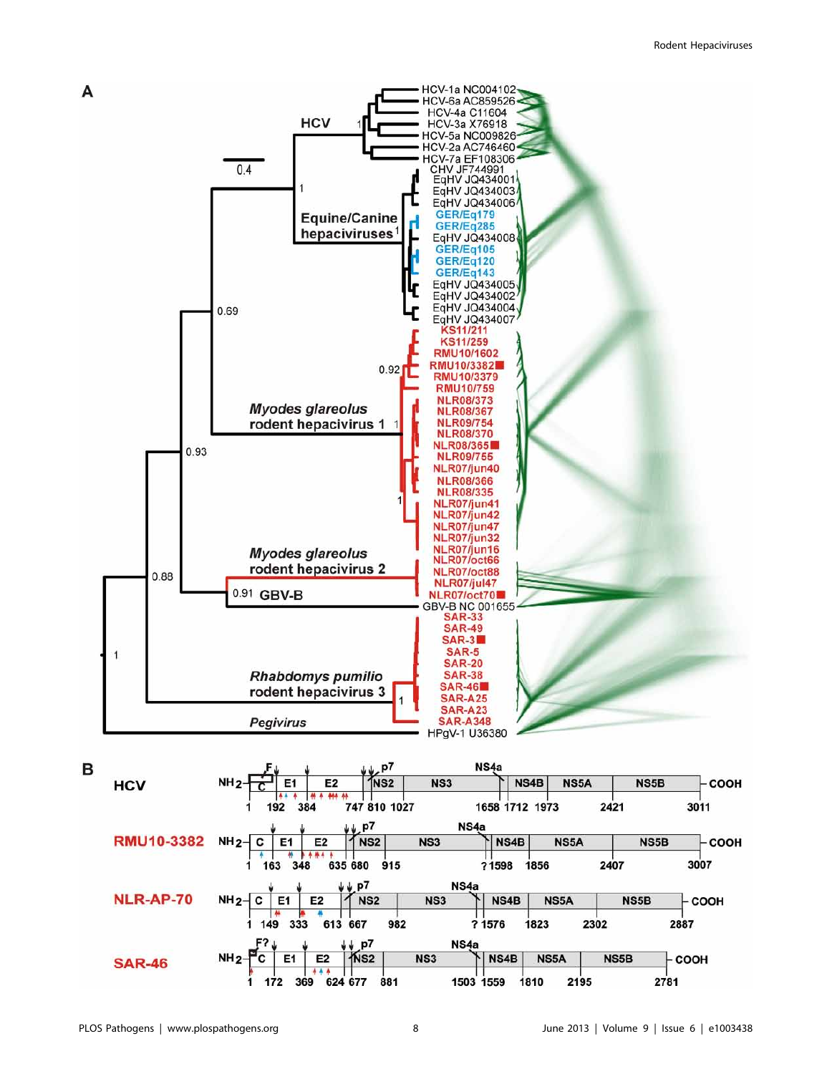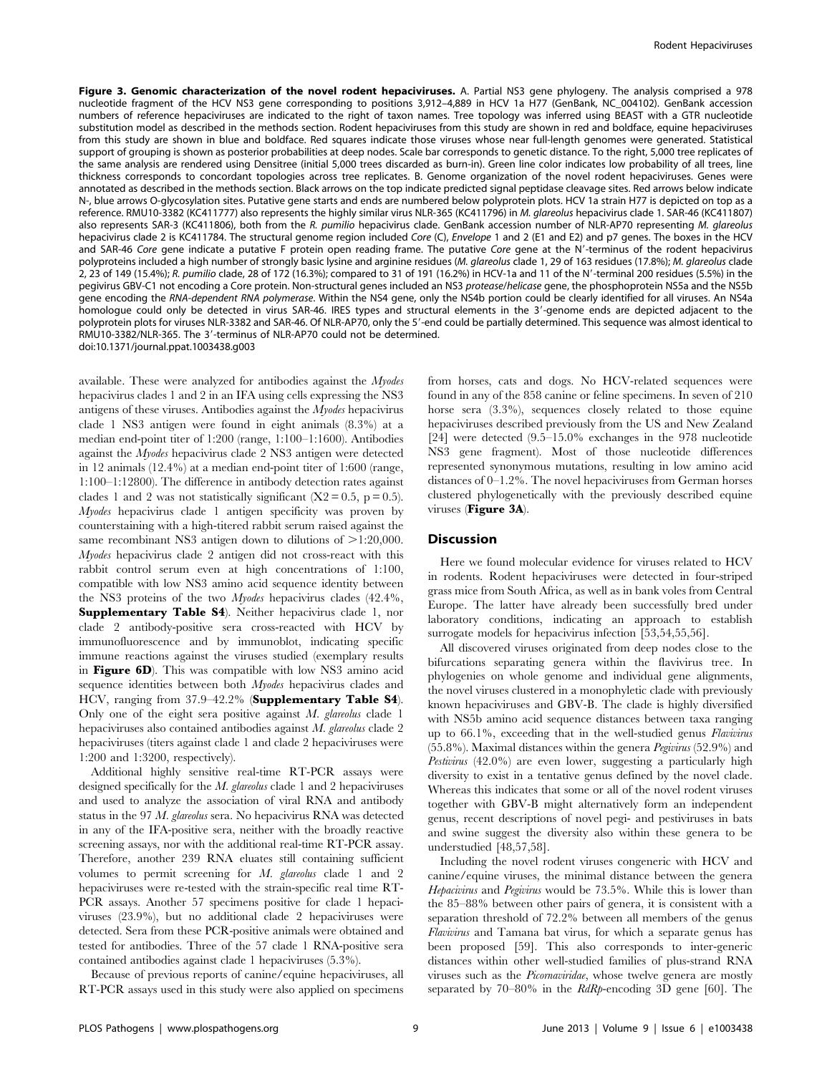Figure 3. Genomic characterization of the novel rodent hepaciviruses. A. Partial NS3 gene phylogeny. The analysis comprised a 978 nucleotide fragment of the HCV NS3 gene corresponding to positions 3,912–4,889 in HCV 1a H77 (GenBank, NC\_004102). GenBank accession numbers of reference hepaciviruses are indicated to the right of taxon names. Tree topology was inferred using BEAST with a GTR nucleotide substitution model as described in the methods section. Rodent hepaciviruses from this study are shown in red and boldface, equine hepaciviruses from this study are shown in blue and boldface. Red squares indicate those viruses whose near full-length genomes were generated. Statistical support of grouping is shown as posterior probabilities at deep nodes. Scale bar corresponds to genetic distance. To the right, 5,000 tree replicates of the same analysis are rendered using Densitree (initial 5,000 trees discarded as burn-in). Green line color indicates low probability of all trees, line thickness corresponds to concordant topologies across tree replicates. B. Genome organization of the novel rodent hepaciviruses. Genes were annotated as described in the methods section. Black arrows on the top indicate predicted signal peptidase cleavage sites. Red arrows below indicate N-, blue arrows O-glycosylation sites. Putative gene starts and ends are numbered below polyprotein plots. HCV 1a strain H77 is depicted on top as a reference. RMU10-3382 (KC411777) also represents the highly similar virus NLR-365 (KC411796) in M. glareolus hepacivirus clade 1. SAR-46 (KC411807) also represents SAR-3 (KC411806), both from the R. pumilio hepacivirus clade. GenBank accession number of NLR-AP70 representing M. glareolus hepacivirus clade 2 is KC411784. The structural genome region included Core (C), Envelope 1 and 2 (E1 and E2) and p7 genes. The boxes in the HCV and SAR-46 Core gene indicate a putative F protein open reading frame. The putative Core gene at the N'-terminus of the rodent hepacivirus polyproteins included a high number of strongly basic lysine and arginine residues (M. glareolus clade 1, 29 of 163 residues (17.8%); M. glareolus clade 2, 23 of 149 (15.4%); R. pumilio clade, 28 of 172 (16.3%); compared to 31 of 191 (16.2%) in HCV-1a and 11 of the N'-terminal 200 residues (5.5%) in the pegivirus GBV-C1 not encoding a Core protein. Non-structural genes included an NS3 protease/helicase gene, the phosphoprotein NS5a and the NS5b gene encoding the RNA-dependent RNA polymerase. Within the NS4 gene, only the NS4b portion could be clearly identified for all viruses. An NS4a homologue could only be detected in virus SAR-46. IRES types and structural elements in the 3'-genome ends are depicted adjacent to the polyprotein plots for viruses NLR-3382 and SAR-46. Of NLR-AP70, only the 5'-end could be partially determined. This sequence was almost identical to RMU10-3382/NLR-365. The 3'-terminus of NLR-AP70 could not be determined. doi:10.1371/journal.ppat.1003438.g003

available. These were analyzed for antibodies against the Myodes hepacivirus clades 1 and 2 in an IFA using cells expressing the NS3 antigens of these viruses. Antibodies against the Myodes hepacivirus clade 1 NS3 antigen were found in eight animals (8.3%) at a median end-point titer of 1:200 (range, 1:100–1:1600). Antibodies against the Myodes hepacivirus clade 2 NS3 antigen were detected in 12 animals (12.4%) at a median end-point titer of 1:600 (range, 1:100–1:12800). The difference in antibody detection rates against clades 1 and 2 was not statistically significant  $(X2 = 0.5, p = 0.5)$ . Myodes hepacivirus clade 1 antigen specificity was proven by counterstaining with a high-titered rabbit serum raised against the same recombinant NS3 antigen down to dilutions of  $\geq$ 1:20,000. Myodes hepacivirus clade 2 antigen did not cross-react with this rabbit control serum even at high concentrations of 1:100, compatible with low NS3 amino acid sequence identity between the NS3 proteins of the two Myodes hepacivirus clades (42.4%, Supplementary Table S4). Neither hepacivirus clade 1, nor clade 2 antibody-positive sera cross-reacted with HCV by immunofluorescence and by immunoblot, indicating specific immune reactions against the viruses studied (exemplary results in Figure 6D). This was compatible with low NS3 amino acid sequence identities between both Myodes hepacivirus clades and HCV, ranging from 37.9–42.2% (Supplementary Table S4). Only one of the eight sera positive against  $M$ . glareolus clade 1 hepaciviruses also contained antibodies against M. glareolus clade 2 hepaciviruses (titers against clade 1 and clade 2 hepaciviruses were 1:200 and 1:3200, respectively).

Additional highly sensitive real-time RT-PCR assays were designed specifically for the  $M$ . glareolus clade 1 and 2 hepaciviruses and used to analyze the association of viral RNA and antibody status in the 97 M. glareolus sera. No hepacivirus RNA was detected in any of the IFA-positive sera, neither with the broadly reactive screening assays, nor with the additional real-time RT-PCR assay. Therefore, another 239 RNA eluates still containing sufficient volumes to permit screening for M. glareolus clade 1 and 2 hepaciviruses were re-tested with the strain-specific real time RT-PCR assays. Another 57 specimens positive for clade 1 hepaciviruses (23.9%), but no additional clade 2 hepaciviruses were detected. Sera from these PCR-positive animals were obtained and tested for antibodies. Three of the 57 clade 1 RNA-positive sera contained antibodies against clade 1 hepaciviruses (5.3%).

Because of previous reports of canine/equine hepaciviruses, all RT-PCR assays used in this study were also applied on specimens from horses, cats and dogs. No HCV-related sequences were found in any of the 858 canine or feline specimens. In seven of 210 horse sera (3.3%), sequences closely related to those equine hepaciviruses described previously from the US and New Zealand [24] were detected (9.5–15.0% exchanges in the 978 nucleotide NS3 gene fragment). Most of those nucleotide differences represented synonymous mutations, resulting in low amino acid distances of 0–1.2%. The novel hepaciviruses from German horses clustered phylogenetically with the previously described equine viruses (Figure 3A).

## Discussion

Here we found molecular evidence for viruses related to HCV in rodents. Rodent hepaciviruses were detected in four-striped grass mice from South Africa, as well as in bank voles from Central Europe. The latter have already been successfully bred under laboratory conditions, indicating an approach to establish surrogate models for hepacivirus infection [53,54,55,56].

All discovered viruses originated from deep nodes close to the bifurcations separating genera within the flavivirus tree. In phylogenies on whole genome and individual gene alignments, the novel viruses clustered in a monophyletic clade with previously known hepaciviruses and GBV-B. The clade is highly diversified with NS5b amino acid sequence distances between taxa ranging up to 66.1%, exceeding that in the well-studied genus Flavivirus (55.8%). Maximal distances within the genera  $Pegivirus$  (52.9%) and Pestivirus (42.0%) are even lower, suggesting a particularly high diversity to exist in a tentative genus defined by the novel clade. Whereas this indicates that some or all of the novel rodent viruses together with GBV-B might alternatively form an independent genus, recent descriptions of novel pegi- and pestiviruses in bats and swine suggest the diversity also within these genera to be understudied [48,57,58].

Including the novel rodent viruses congeneric with HCV and canine/equine viruses, the minimal distance between the genera Hepacivirus and Pegivirus would be 73.5%. While this is lower than the 85–88% between other pairs of genera, it is consistent with a separation threshold of 72.2% between all members of the genus Flavivirus and Tamana bat virus, for which a separate genus has been proposed [59]. This also corresponds to inter-generic distances within other well-studied families of plus-strand RNA viruses such as the Picornaviridae, whose twelve genera are mostly separated by 70–80% in the RdRp-encoding 3D gene [60]. The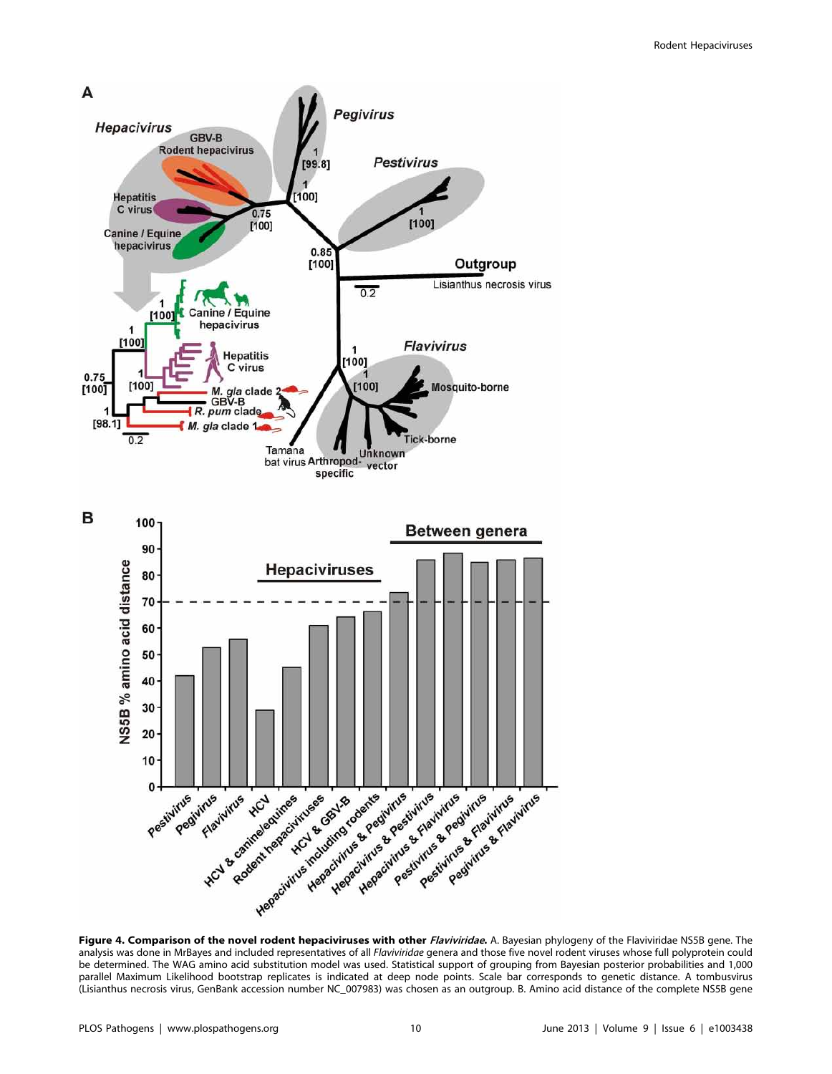

analysis was done in MrBayes and included representatives of all Flaviviridae genera and those five novel rodent viruses whose full polyprotein could be determined. The WAG amino acid substitution model was used. Statistical support of grouping from Bayesian posterior probabilities and 1,000 parallel Maximum Likelihood bootstrap replicates is indicated at deep node points. Scale bar corresponds to genetic distance. A tombusvirus (Lisianthus necrosis virus, GenBank accession number NC\_007983) was chosen as an outgroup. B. Amino acid distance of the complete NS5B gene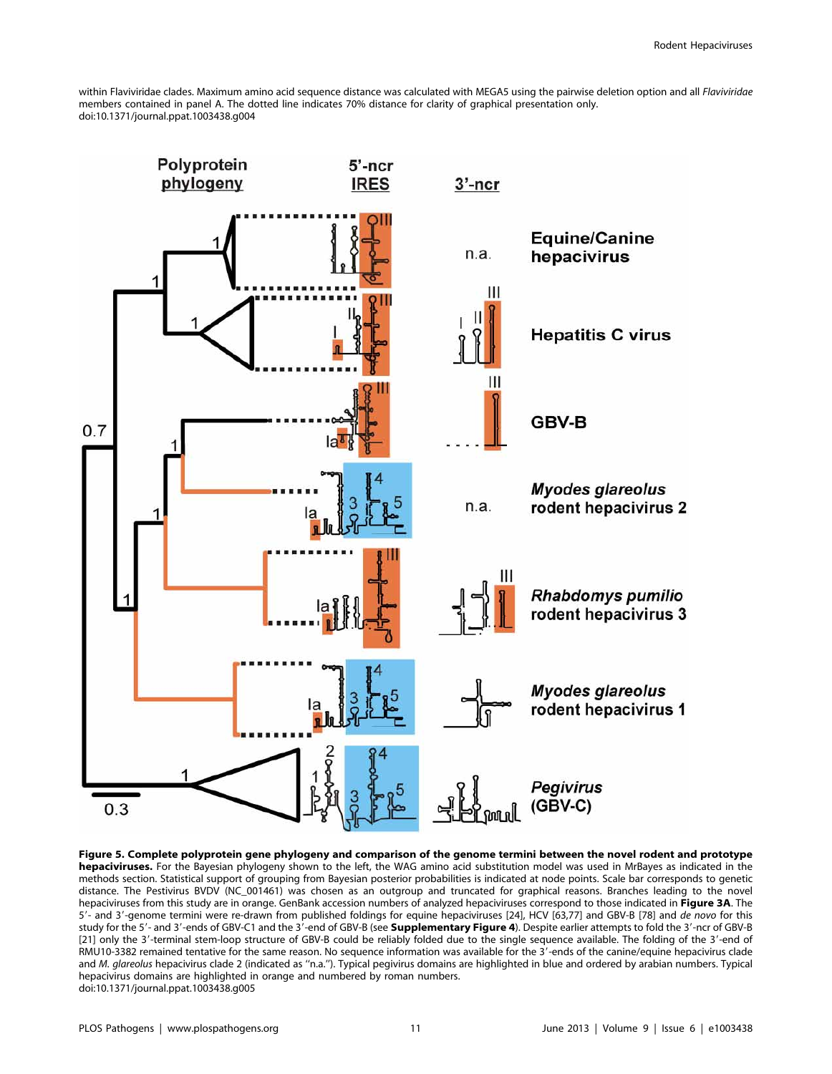within Flaviviridae clades. Maximum amino acid sequence distance was calculated with MEGA5 using the pairwise deletion option and all Flaviviridae members contained in panel A. The dotted line indicates 70% distance for clarity of graphical presentation only. doi:10.1371/journal.ppat.1003438.g004



Figure 5. Complete polyprotein gene phylogeny and comparison of the genome termini between the novel rodent and prototype hepaciviruses. For the Bayesian phylogeny shown to the left, the WAG amino acid substitution model was used in MrBayes as indicated in the methods section. Statistical support of grouping from Bayesian posterior probabilities is indicated at node points. Scale bar corresponds to genetic distance. The Pestivirus BVDV (NC\_001461) was chosen as an outgroup and truncated for graphical reasons. Branches leading to the novel hepaciviruses from this study are in orange. GenBank accession numbers of analyzed hepaciviruses correspond to those indicated in Figure 3A. The 5'- and 3'-genome termini were re-drawn from published foldings for equine hepaciviruses [24], HCV [63,77] and GBV-B [78] and de novo for this study for the 5'- and 3'-ends of GBV-C1 and the 3'-end of GBV-B (see Supplementary Figure 4). Despite earlier attempts to fold the 3'-ncr of GBV-B [21] only the 3'-terminal stem-loop structure of GBV-B could be reliably folded due to the single sequence available. The folding of the 3'-end of RMU10-3382 remained tentative for the same reason. No sequence information was available for the 3'-ends of the canine/equine hepacivirus clade and M. glareolus hepacivirus clade 2 (indicated as "n.a."). Typical pegivirus domains are highlighted in blue and ordered by arabian numbers. Typical hepacivirus domains are highlighted in orange and numbered by roman numbers. doi:10.1371/journal.ppat.1003438.g005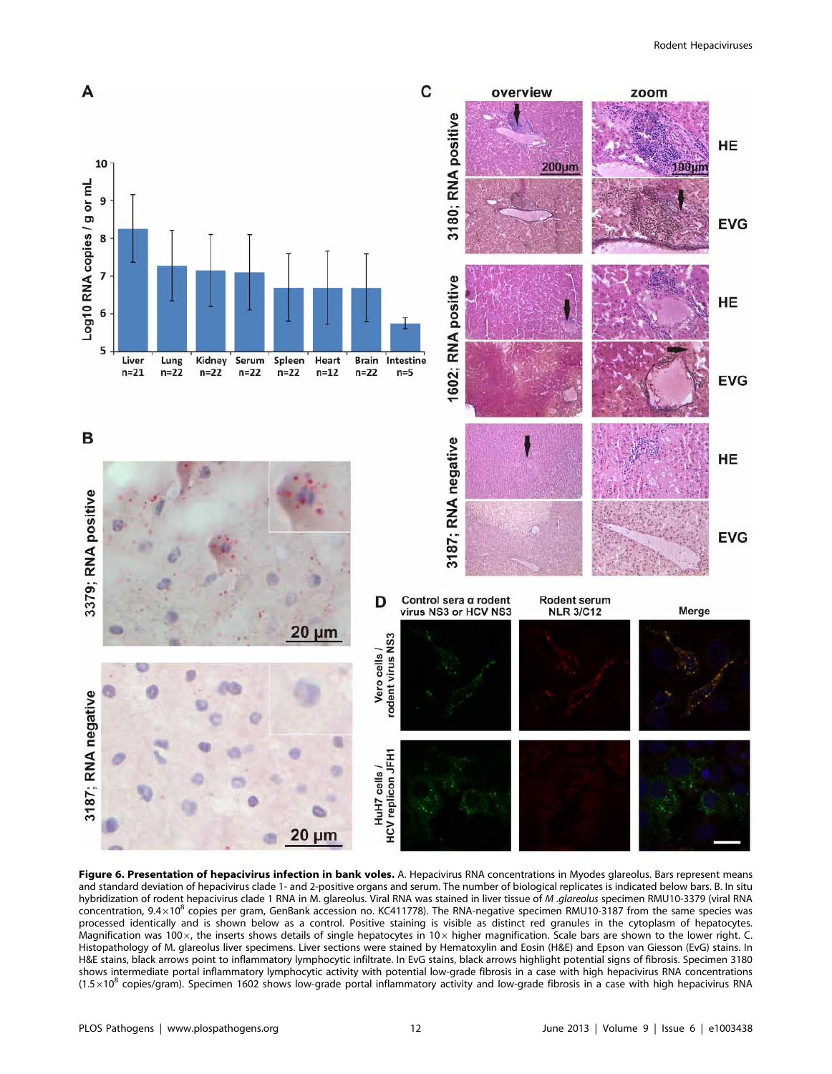

Figure 6. Presentation of hepacivirus infection in bank voles. A. Hepacivirus RNA concentrations in Myodes glareolus. Bars represent means and standard deviation of hepacivirus clade 1- and 2-positive organs and serum. The number of biological replicates is indicated below bars. B. In situ hybridization of rodent hepacivirus clade 1 RNA in M. glareolus. Viral RNA was stained in liver tissue of M .glareolus specimen RMU10-3379 (viral RNA concentration,  $9.4\times10^8$  copies per gram, GenBank accession no. KC411778). The RNA-negative specimen RMU10-3187 from the same species was processed identically and is shown below as a control. Positive staining is visible as distinct red granules in the cytoplasm of hepatocytes. Magnification was 100x, the inserts shows details of single hepatocytes in 10x higher magnification. Scale bars are shown to the lower right. C. Histopathology of M. glareolus liver specimens. Liver sections were stained by Hematoxylin and Eosin (H&E) and Epson van Giesson (EvG) stains. In H&E stains, black arrows point to inflammatory lymphocytic infiltrate. In EvG stains, black arrows highlight potential signs of fibrosis. Specimen 3180 shows intermediate portal inflammatory lymphocytic activity with potential low-grade fibrosis in a case with high hepacivirus RNA concentrations  $(1.5\times10^8$  copies/gram). Specimen 1602 shows low-grade portal inflammatory activity and low-grade fibrosis in a case with high hepacivirus RNA

Rodent Hepaciviruses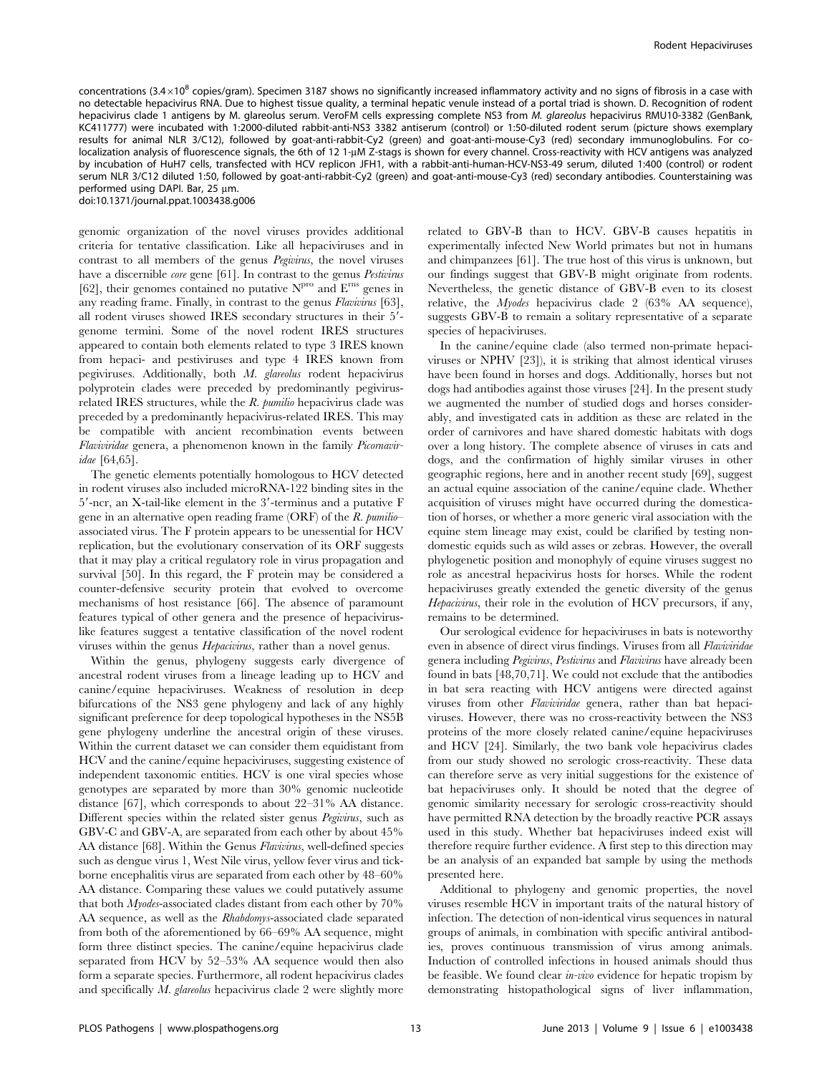concentrations (3.4×10<sup>8</sup> copies/gram). Specimen 3187 shows no significantly increased inflammatory activity and no signs of fibrosis in a case with no detectable hepacivirus RNA. Due to highest tissue quality, a terminal hepatic venule instead of a portal triad is shown. D. Recognition of rodent hepacivirus clade 1 antigens by M. glareolus serum. VeroFM cells expressing complete NS3 from M. glareolus hepacivirus RMU10-3382 (GenBank, KC411777) were incubated with 1:2000-diluted rabbit-anti-NS3 3382 antiserum (control) or 1:50-diluted rodent serum (picture shows exemplary results for animal NLR 3/C12), followed by goat-anti-rabbit-Cy2 (green) and goat-anti-mouse-Cy3 (red) secondary immunoglobulins. For colocalization analysis of fluorescence signals, the 6th of 12 1-µM Z-stags is shown for every channel. Cross-reactivity with HCV antigens was analyzed by incubation of HuH7 cells, transfected with HCV replicon JFH1, with a rabbit-anti-human-HCV-NS3-49 serum, diluted 1:400 (control) or rodent serum NLR 3/C12 diluted 1:50, followed by goat-anti-rabbit-Cy2 (green) and goat-anti-mouse-Cy3 (red) secondary antibodies. Counterstaining was performed using DAPI. Bar, 25 µm.

doi:10.1371/journal.ppat.1003438.g006

genomic organization of the novel viruses provides additional criteria for tentative classification. Like all hepaciviruses and in contrast to all members of the genus Pegivirus, the novel viruses have a discernible *core* gene [61]. In contrast to the genus *Pestivirus* [62], their genomes contained no putative  $N<sup>pro</sup>$  and  $E<sup>rns</sup>$  genes in any reading frame. Finally, in contrast to the genus Flavivirus [63], all rodent viruses showed IRES secondary structures in their 5'genome termini. Some of the novel rodent IRES structures appeared to contain both elements related to type 3 IRES known from hepaci- and pestiviruses and type 4 IRES known from pegiviruses. Additionally, both M. glareolus rodent hepacivirus polyprotein clades were preceded by predominantly pegivirusrelated IRES structures, while the R. pumilio hepacivirus clade was preceded by a predominantly hepacivirus-related IRES. This may be compatible with ancient recombination events between Flaviviridae genera, a phenomenon known in the family Picornaviridae [64,65].

The genetic elements potentially homologous to HCV detected in rodent viruses also included microRNA-122 binding sites in the  $5'$ -ncr, an X-tail-like element in the  $3'$ -terminus and a putative  $F$ gene in an alternative open reading frame  $(ORF)$  of the R. pumilio– associated virus. The F protein appears to be unessential for HCV replication, but the evolutionary conservation of its ORF suggests that it may play a critical regulatory role in virus propagation and survival [50]. In this regard, the F protein may be considered a counter-defensive security protein that evolved to overcome mechanisms of host resistance [66]. The absence of paramount features typical of other genera and the presence of hepaciviruslike features suggest a tentative classification of the novel rodent viruses within the genus Hepacivirus, rather than a novel genus.

Within the genus, phylogeny suggests early divergence of ancestral rodent viruses from a lineage leading up to HCV and canine/equine hepaciviruses. Weakness of resolution in deep bifurcations of the NS3 gene phylogeny and lack of any highly significant preference for deep topological hypotheses in the NS5B gene phylogeny underline the ancestral origin of these viruses. Within the current dataset we can consider them equidistant from HCV and the canine/equine hepaciviruses, suggesting existence of independent taxonomic entities. HCV is one viral species whose genotypes are separated by more than 30% genomic nucleotide distance [67], which corresponds to about 22–31% AA distance. Different species within the related sister genus *Pegivirus*, such as GBV-C and GBV-A, are separated from each other by about 45% AA distance [68]. Within the Genus Flavivirus, well-defined species such as dengue virus 1, West Nile virus, yellow fever virus and tickborne encephalitis virus are separated from each other by 48–60% AA distance. Comparing these values we could putatively assume that both Myodes-associated clades distant from each other by 70% AA sequence, as well as the Rhabdomys-associated clade separated from both of the aforementioned by 66–69% AA sequence, might form three distinct species. The canine/equine hepacivirus clade separated from HCV by 52–53% AA sequence would then also form a separate species. Furthermore, all rodent hepacivirus clades and specifically M. glareolus hepacivirus clade 2 were slightly more

related to GBV-B than to HCV. GBV-B causes hepatitis in experimentally infected New World primates but not in humans and chimpanzees [61]. The true host of this virus is unknown, but our findings suggest that GBV-B might originate from rodents. Nevertheless, the genetic distance of GBV-B even to its closest relative, the Myodes hepacivirus clade 2 (63% AA sequence), suggests GBV-B to remain a solitary representative of a separate species of hepaciviruses.

In the canine/equine clade (also termed non-primate hepaciviruses or NPHV [23]), it is striking that almost identical viruses have been found in horses and dogs. Additionally, horses but not dogs had antibodies against those viruses [24]. In the present study we augmented the number of studied dogs and horses considerably, and investigated cats in addition as these are related in the order of carnivores and have shared domestic habitats with dogs over a long history. The complete absence of viruses in cats and dogs, and the confirmation of highly similar viruses in other geographic regions, here and in another recent study [69], suggest an actual equine association of the canine/equine clade. Whether acquisition of viruses might have occurred during the domestication of horses, or whether a more generic viral association with the equine stem lineage may exist, could be clarified by testing nondomestic equids such as wild asses or zebras. However, the overall phylogenetic position and monophyly of equine viruses suggest no role as ancestral hepacivirus hosts for horses. While the rodent hepaciviruses greatly extended the genetic diversity of the genus Hepacivirus, their role in the evolution of HCV precursors, if any, remains to be determined.

Our serological evidence for hepaciviruses in bats is noteworthy even in absence of direct virus findings. Viruses from all Flaviviridae genera including Pegivirus, Pestivirus and Flavivirus have already been found in bats [48,70,71]. We could not exclude that the antibodies in bat sera reacting with HCV antigens were directed against viruses from other Flaviviridae genera, rather than bat hepaciviruses. However, there was no cross-reactivity between the NS3 proteins of the more closely related canine/equine hepaciviruses and HCV [24]. Similarly, the two bank vole hepacivirus clades from our study showed no serologic cross-reactivity. These data can therefore serve as very initial suggestions for the existence of bat hepaciviruses only. It should be noted that the degree of genomic similarity necessary for serologic cross-reactivity should have permitted RNA detection by the broadly reactive PCR assays used in this study. Whether bat hepaciviruses indeed exist will therefore require further evidence. A first step to this direction may be an analysis of an expanded bat sample by using the methods presented here.

Additional to phylogeny and genomic properties, the novel viruses resemble HCV in important traits of the natural history of infection. The detection of non-identical virus sequences in natural groups of animals, in combination with specific antiviral antibodies, proves continuous transmission of virus among animals. Induction of controlled infections in housed animals should thus be feasible. We found clear  $in$ -vivo evidence for hepatic tropism by demonstrating histopathological signs of liver inflammation,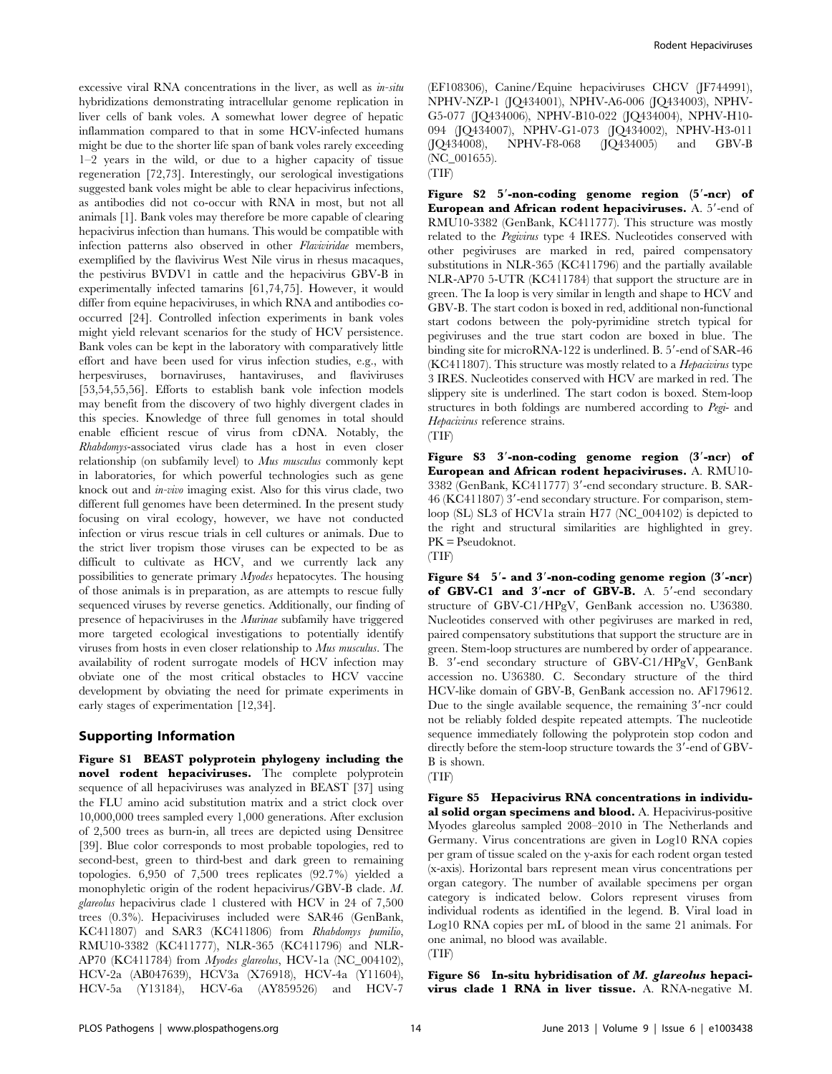excessive viral RNA concentrations in the liver, as well as in-situ hybridizations demonstrating intracellular genome replication in liver cells of bank voles. A somewhat lower degree of hepatic inflammation compared to that in some HCV-infected humans might be due to the shorter life span of bank voles rarely exceeding 1–2 years in the wild, or due to a higher capacity of tissue regeneration [72,73]. Interestingly, our serological investigations suggested bank voles might be able to clear hepacivirus infections, as antibodies did not co-occur with RNA in most, but not all animals [1]. Bank voles may therefore be more capable of clearing hepacivirus infection than humans. This would be compatible with infection patterns also observed in other Flaviviridae members, exemplified by the flavivirus West Nile virus in rhesus macaques, the pestivirus BVDV1 in cattle and the hepacivirus GBV-B in experimentally infected tamarins [61,74,75]. However, it would differ from equine hepaciviruses, in which RNA and antibodies cooccurred [24]. Controlled infection experiments in bank voles might yield relevant scenarios for the study of HCV persistence. Bank voles can be kept in the laboratory with comparatively little effort and have been used for virus infection studies, e.g., with herpesviruses, bornaviruses, hantaviruses, and flaviviruses [53,54,55,56]. Efforts to establish bank vole infection models may benefit from the discovery of two highly divergent clades in this species. Knowledge of three full genomes in total should enable efficient rescue of virus from cDNA. Notably, the Rhabdomys-associated virus clade has a host in even closer relationship (on subfamily level) to Mus musculus commonly kept in laboratories, for which powerful technologies such as gene knock out and in-vivo imaging exist. Also for this virus clade, two different full genomes have been determined. In the present study focusing on viral ecology, however, we have not conducted infection or virus rescue trials in cell cultures or animals. Due to the strict liver tropism those viruses can be expected to be as difficult to cultivate as HCV, and we currently lack any possibilities to generate primary Myodes hepatocytes. The housing of those animals is in preparation, as are attempts to rescue fully sequenced viruses by reverse genetics. Additionally, our finding of presence of hepaciviruses in the Murinae subfamily have triggered more targeted ecological investigations to potentially identify viruses from hosts in even closer relationship to Mus musculus. The availability of rodent surrogate models of HCV infection may obviate one of the most critical obstacles to HCV vaccine development by obviating the need for primate experiments in early stages of experimentation [12,34].

## Supporting Information

Figure S1 BEAST polyprotein phylogeny including the novel rodent hepaciviruses. The complete polyprotein sequence of all hepaciviruses was analyzed in BEAST [37] using the FLU amino acid substitution matrix and a strict clock over 10,000,000 trees sampled every 1,000 generations. After exclusion of 2,500 trees as burn-in, all trees are depicted using Densitree [39]. Blue color corresponds to most probable topologies, red to second-best, green to third-best and dark green to remaining topologies. 6,950 of 7,500 trees replicates (92.7%) yielded a monophyletic origin of the rodent hepacivirus/GBV-B clade. M. glareolus hepacivirus clade 1 clustered with HCV in 24 of 7,500 trees (0.3%). Hepaciviruses included were SAR46 (GenBank, KC411807) and SAR3 (KC411806) from Rhabdomys pumilio, RMU10-3382 (KC411777), NLR-365 (KC411796) and NLR-AP70 (KC411784) from Myodes glareolus, HCV-1a (NC\_004102), HCV-2a (AB047639), HCV3a (X76918), HCV-4a (Y11604), HCV-5a (Y13184), HCV-6a (AY859526) and HCV-7

(EF108306), Canine/Equine hepaciviruses CHCV (JF744991), NPHV-NZP-1 (JQ434001), NPHV-A6-006 (JQ434003), NPHV-G5-077 (JQ434006), NPHV-B10-022 (JQ434004), NPHV-H10- 094 (JQ434007), NPHV-G1-073 (JQ434002), NPHV-H3-011 (JQ434008), NPHV-F8-068 (JQ434005) and GBV-B (NC\_001655).

(TIF)

Figure S2  $5'$ -non-coding genome region  $(5'$ -ncr) of European and African rodent hepaciviruses. A. 5'-end of RMU10-3382 (GenBank, KC411777). This structure was mostly related to the Pegivirus type 4 IRES. Nucleotides conserved with other pegiviruses are marked in red, paired compensatory substitutions in NLR-365 (KC411796) and the partially available NLR-AP70 5-UTR (KC411784) that support the structure are in green. The Ia loop is very similar in length and shape to HCV and GBV-B. The start codon is boxed in red, additional non-functional start codons between the poly-pyrimidine stretch typical for pegiviruses and the true start codon are boxed in blue. The binding site for microRNA-122 is underlined. B.  $5'$ -end of SAR-46  $(KC411807)$ . This structure was mostly related to a *Hepacivirus* type 3 IRES. Nucleotides conserved with HCV are marked in red. The slippery site is underlined. The start codon is boxed. Stem-loop structures in both foldings are numbered according to Pegi- and Hepacivirus reference strains. (TIF)

Figure S3  $3'$ -non-coding genome region  $(3'-ncr)$  of European and African rodent hepaciviruses. A. RMU10- 3382 (GenBank, KC411777) 3'-end secondary structure. B. SAR-46 (KC411807) 3'-end secondary structure. For comparison, stemloop (SL) SL3 of HCV1a strain H77 (NC\_004102) is depicted to the right and structural similarities are highlighted in grey. PK = Pseudoknot.

(TIF)

Figure S4  $5'$ - and  $3'$ -non-coding genome region  $(3'-ncr)$ of GBV-C1 and 3'-ncr of GBV-B. A. 5'-end secondary structure of GBV-C1/HPgV, GenBank accession no. U36380. Nucleotides conserved with other pegiviruses are marked in red, paired compensatory substitutions that support the structure are in green. Stem-loop structures are numbered by order of appearance. B. 3'-end secondary structure of GBV-C1/HPgV, GenBank accession no. U36380. C. Secondary structure of the third HCV-like domain of GBV-B, GenBank accession no. AF179612. Due to the single available sequence, the remaining  $3'$ -ncr could not be reliably folded despite repeated attempts. The nucleotide sequence immediately following the polyprotein stop codon and directly before the stem-loop structure towards the 3'-end of GBV-B is shown.



Figure S5 Hepacivirus RNA concentrations in individual solid organ specimens and blood. A. Hepacivirus-positive Myodes glareolus sampled 2008–2010 in The Netherlands and Germany. Virus concentrations are given in Log10 RNA copies per gram of tissue scaled on the y-axis for each rodent organ tested (x-axis). Horizontal bars represent mean virus concentrations per organ category. The number of available specimens per organ category is indicated below. Colors represent viruses from individual rodents as identified in the legend. B. Viral load in Log10 RNA copies per mL of blood in the same 21 animals. For one animal, no blood was available. (TIF)

Figure S6 In-situ hybridisation of M. glareolus hepacivirus clade 1 RNA in liver tissue. A. RNA-negative M.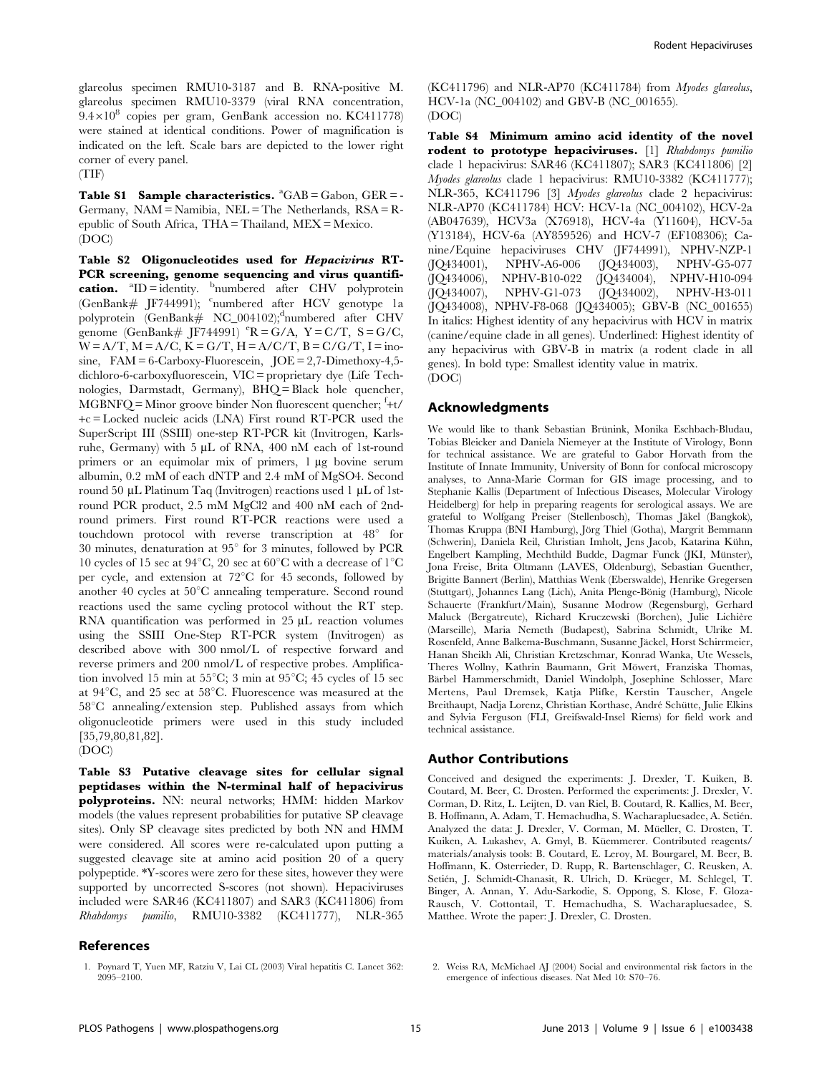glareolus specimen RMU10-3187 and B. RNA-positive M. glareolus specimen RMU10-3379 (viral RNA concentration,  $9.4\times10^8$  copies per gram, GenBank accession no. KC411778) were stained at identical conditions. Power of magnification is indicated on the left. Scale bars are depicted to the lower right corner of every panel. (TIF)

Table S1 Sample characteristics.  ${}^{\textrm{a}}\textrm{GAB} = \textrm{Gabon}$ , GER = -Germany, NAM = Namibia, NEL = The Netherlands, RSA = Republic of South Africa, THA = Thailand, MEX = Mexico. (DOC)

Table S2 Oligonucleotides used for Hepacivirus RT-PCR screening, genome sequencing and virus quantification. <sup>a</sup>ID = identity. <sup>b</sup>numbered after CHV polyprotein (GenBank# JF744991); cnumbered after HCV genotype la polyprotein (GenBank# NC\_004102);<sup>d</sup>numbered after CHV genome (GenBank# JF744991)  ${}^{\circ}R = G/A$ , Y = C/T, S = G/C,  $W = A/T$ ,  $M = A/C$ ,  $K = G/T$ ,  $H = A/C/T$ ,  $B = C/G/T$ ,  $I = inoc$ sine,  $FAM = 6$ -Carboxy-Fluorescein,  $JOE = 2,7$ -Dimethoxy-4,5dichloro-6-carboxyfluorescein, VIC = proprietary dye (Life Technologies, Darmstadt, Germany), BHQ = Black hole quencher, MGBNFQ = Minor groove binder Non fluorescent quencher; <sup>f</sup>+t/ +c = Locked nucleic acids (LNA) First round RT-PCR used the SuperScript III (SSIII) one-step RT-PCR kit (Invitrogen, Karlsruhe, Germany) with 5 uL of RNA, 400 nM each of 1st-round primers or an equimolar mix of primers,  $1 \mu$ g bovine serum albumin, 0.2 mM of each dNTP and 2.4 mM of MgSO4. Second round 50  $\mu$ L Platinum Taq (Invitrogen) reactions used 1  $\mu$ L of 1stround PCR product, 2.5 mM MgCl2 and 400 nM each of 2ndround primers. First round RT-PCR reactions were used a touchdown protocol with reverse transcription at  $48^\circ$  for 30 minutes, denaturation at  $95^{\circ}$  for 3 minutes, followed by PCR 10 cycles of 15 sec at 94 $\mathrm{°C}$ , 20 sec at 60 $\mathrm{°C}$  with a decrease of 1 $\mathrm{°C}$ per cycle, and extension at  $72^{\circ}$ C for 45 seconds, followed by another 40 cycles at  $50^{\circ}$ C annealing temperature. Second round reactions used the same cycling protocol without the RT step. RNA quantification was performed in  $25 \mu L$  reaction volumes using the SSIII One-Step RT-PCR system (Invitrogen) as described above with 300 nmol/L of respective forward and reverse primers and 200 nmol/L of respective probes. Amplification involved 15 min at  $55^{\circ}$ C; 3 min at  $95^{\circ}$ C; 45 cycles of 15 sec at  $94^{\circ}$ C, and 25 sec at  $58^{\circ}$ C. Fluorescence was measured at the  $58^{\circ}$ C annealing/extension step. Published assays from which oligonucleotide primers were used in this study included [35,79,80,81,82]. (DOC)

Table S3 Putative cleavage sites for cellular signal peptidases within the N-terminal half of hepacivirus polyproteins. NN: neural networks; HMM: hidden Markov models (the values represent probabilities for putative SP cleavage sites). Only SP cleavage sites predicted by both NN and HMM were considered. All scores were re-calculated upon putting a suggested cleavage site at amino acid position 20 of a query polypeptide. \*Y-scores were zero for these sites, however they were supported by uncorrected S-scores (not shown). Hepaciviruses included were SAR46 (KC411807) and SAR3 (KC411806) from Rhabdomys pumilio, RMU10-3382 (KC411777), NLR-365

# References

1. Poynard T, Yuen MF, Ratziu V, Lai CL (2003) Viral hepatitis C. Lancet 362: 2095–2100.

(KC411796) and NLR-AP70 (KC411784) from Myodes glareolus, HCV-1a (NC\_004102) and GBV-B (NC\_001655). (DOC)

Table S4 Minimum amino acid identity of the novel rodent to prototype hepaciviruses. [1] Rhabdomys pumilio clade 1 hepacivirus: SAR46 (KC411807); SAR3 (KC411806) [2] Myodes glareolus clade 1 hepacivirus: RMU10-3382 (KC411777); NLR-365, KC411796 [3] Myodes glareolus clade 2 hepacivirus: NLR-AP70 (KC411784) HCV: HCV-1a (NC\_004102), HCV-2a (AB047639), HCV3a (X76918), HCV-4a (Y11604), HCV-5a (Y13184), HCV-6a (AY859526) and HCV-7 (EF108306); Canine/Equine hepaciviruses CHV (JF744991), NPHV-NZP-1 (JQ434001), NPHV-A6-006 (JQ434003), NPHV-G5-077 (JQ434006), NPHV-B10-022 (JQ434004), NPHV-H10-094 (JQ434007), NPHV-G1-073 (JQ434002), NPHV-H3-011 (JQ434008), NPHV-F8-068 (JQ434005); GBV-B (NC\_001655) In italics: Highest identity of any hepacivirus with HCV in matrix (canine/equine clade in all genes). Underlined: Highest identity of any hepacivirus with GBV-B in matrix (a rodent clade in all genes). In bold type: Smallest identity value in matrix. (DOC)

## Acknowledgments

We would like to thank Sebastian Brünink, Monika Eschbach-Bludau, Tobias Bleicker and Daniela Niemeyer at the Institute of Virology, Bonn for technical assistance. We are grateful to Gabor Horvath from the Institute of Innate Immunity, University of Bonn for confocal microscopy analyses, to Anna-Marie Corman for GIS image processing, and to Stephanie Kallis (Department of Infectious Diseases, Molecular Virology Heidelberg) for help in preparing reagents for serological assays. We are grateful to Wolfgang Preiser (Stellenbosch), Thomas Jäkel (Bangkok), Thomas Kruppa (BNI Hamburg), Jörg Thiel (Gotha), Margrit Bemmann (Schwerin), Daniela Reil, Christian Imholt, Jens Jacob, Katarina Kühn, Engelbert Kampling, Mechthild Budde, Dagmar Funck (JKI, Münster), Jona Freise, Brita Oltmann (LAVES, Oldenburg), Sebastian Guenther, Brigitte Bannert (Berlin), Matthias Wenk (Eberswalde), Henrike Gregersen (Stuttgart), Johannes Lang (Lich), Anita Plenge-Bönig (Hamburg), Nicole Schauerte (Frankfurt/Main), Susanne Modrow (Regensburg), Gerhard Maluck (Bergatreute), Richard Kruczewski (Borchen), Julie Lichière (Marseille), Maria Nemeth (Budapest), Sabrina Schmidt, Ulrike M. Rosenfeld, Anne Balkema-Buschmann, Susanne Jäckel, Horst Schirrmeier, Hanan Sheikh Ali, Christian Kretzschmar, Konrad Wanka, Ute Wessels, Theres Wollny, Kathrin Baumann, Grit Möwert, Franziska Thomas, Bärbel Hammerschmidt, Daniel Windolph, Josephine Schlosser, Marc Mertens, Paul Dremsek, Katja Plifke, Kerstin Tauscher, Angele Breithaupt, Nadja Lorenz, Christian Korthase, André Schütte, Julie Elkins and Sylvia Ferguson (FLI, Greifswald-Insel Riems) for field work and technical assistance.

## Author Contributions

Conceived and designed the experiments: J. Drexler, T. Kuiken, B. Coutard, M. Beer, C. Drosten. Performed the experiments: J. Drexler, V. Corman, D. Ritz, L. Leijten, D. van Riel, B. Coutard, R. Kallies, M. Beer, B. Hoffmann, A. Adam, T. Hemachudha, S. Wacharapluesadee, A. Setién. Analyzed the data: J. Drexler, V. Corman, M. Müeller, C. Drosten, T. Kuiken, A. Lukashev, A. Gmyl, B. Küemmerer. Contributed reagents/ materials/analysis tools: B. Coutard, E. Leroy, M. Bourgarel, M. Beer, B. Hoffmann, K. Osterrieder, D. Rupp, R. Bartenschlager, C. Reusken, A. Setién, J. Schmidt-Chanasit, R. Ulrich, D. Krüeger, M. Schlegel, T. Binger, A. Annan, Y. Adu-Sarkodie, S. Oppong, S. Klose, F. Gloza-Rausch, V. Cottontail, T. Hemachudha, S. Wacharapluesadee, S. Matthee. Wrote the paper: J. Drexler, C. Drosten.

2. Weiss RA, McMichael AJ (2004) Social and environmental risk factors in the emergence of infectious diseases. Nat Med 10: S70–76.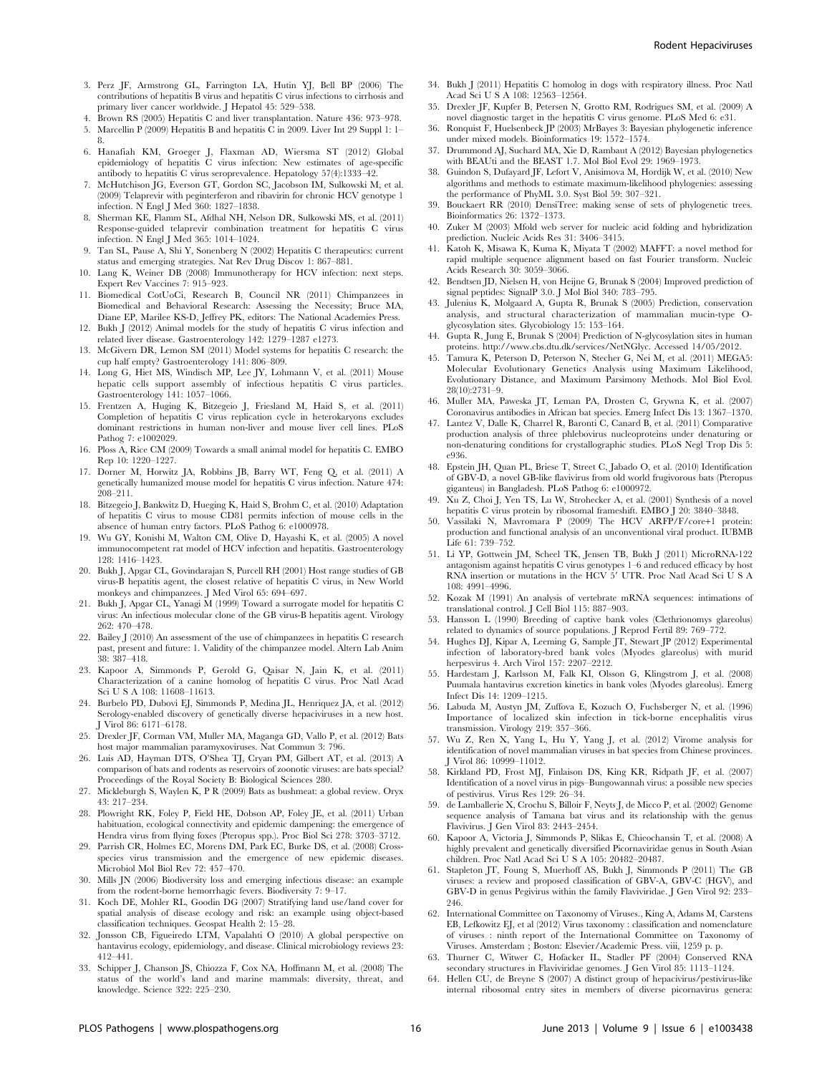- 3. Perz JF, Armstrong GL, Farrington LA, Hutin YJ, Bell BP (2006) The contributions of hepatitis B virus and hepatitis C virus infections to cirrhosis and primary liver cancer worldwide. J Hepatol 45: 529–538.
- 4. Brown RS (2005) Hepatitis C and liver transplantation. Nature 436: 973–978.
- 5. Marcellin P (2009) Hepatitis B and hepatitis C in 2009. Liver Int 29 Suppl 1: 1– 8.
- 6. Hanafiah KM, Groeger J, Flaxman AD, Wiersma ST (2012) Global epidemiology of hepatitis C virus infection: New estimates of age-specific antibody to hepatitis C virus seroprevalence. Hepatology 57(4):1333–42.
- 7. McHutchison JG, Everson GT, Gordon SC, Jacobson IM, Sulkowski M, et al. (2009) Telaprevir with peginterferon and ribavirin for chronic HCV genotype 1 infection. N Engl J Med 360: 1827–1838.
- 8. Sherman KE, Flamm SL, Afdhal NH, Nelson DR, Sulkowski MS, et al. (2011) Response-guided telaprevir combination treatment for hepatitis C virus infection. N Engl J Med 365: 1014–1024.
- 9. Tan SL, Pause A, Shi Y, Sonenberg N (2002) Hepatitis C therapeutics: current status and emerging strategies. Nat Rev Drug Discov 1: 867–881.
- 10. Lang K, Weiner DB (2008) Immunotherapy for HCV infection: next steps. Expert Rev Vaccines 7: 915–923.
- 11. Biomedical CotUoCi, Research B, Council NR (2011) Chimpanzees in Biomedical and Behavioral Research: Assessing the Necessity; Bruce MA, Diane EP, Marilee KS-D, Jeffrey PK, editors: The National Academies Press.
- 12. Bukh J (2012) Animal models for the study of hepatitis C virus infection and related liver disease. Gastroenterology 142: 1279–1287 e1273.
- 13. McGivern DR, Lemon SM (2011) Model systems for hepatitis C research: the cup half empty? Gastroenterology 141: 806–809.
- 14. Long G, Hiet MS, Windisch MP, Lee JY, Lohmann V, et al. (2011) Mouse hepatic cells support assembly of infectious hepatitis C virus particles. Gastroenterology 141: 1057–1066.
- 15. Frentzen A, Huging K, Bitzegeio J, Friesland M, Haid S, et al. (2011) Completion of hepatitis C virus replication cycle in heterokaryons excludes dominant restrictions in human non-liver and mouse liver cell lines. PLoS Pathog 7: e1002029.
- 16. Ploss A, Rice CM (2009) Towards a small animal model for hepatitis C. EMBO Rep 10: 1220–1227.
- 17. Dorner M, Horwitz JA, Robbins JB, Barry WT, Feng Q, et al. (2011) A genetically humanized mouse model for hepatitis C virus infection. Nature 474: 208–211.
- 18. Bitzegeio J, Bankwitz D, Hueging K, Haid S, Brohm C, et al. (2010) Adaptation of hepatitis C virus to mouse CD81 permits infection of mouse cells in the absence of human entry factors. PLoS Pathog 6: e1000978.
- 19. Wu GY, Konishi M, Walton CM, Olive D, Hayashi K, et al. (2005) A novel immunocompetent rat model of HCV infection and hepatitis. Gastroenterology 128: 1416–1423.
- 20. Bukh J, Apgar CL, Govindarajan S, Purcell RH (2001) Host range studies of GB virus-B hepatitis agent, the closest relative of hepatitis C virus, in New World monkeys and chimpanzees. J Med Virol 65: 694–697.
- 21. Bukh J, Apgar CL, Yanagi M (1999) Toward a surrogate model for hepatitis C virus: An infectious molecular clone of the GB virus-B hepatitis agent. Virology 262: 470–478.
- 22. Bailey J (2010) An assessment of the use of chimpanzees in hepatitis C research past, present and future: 1. Validity of the chimpanzee model. Altern Lab Anim 38: 387–418.
- 23. Kapoor A, Simmonds P, Gerold G, Qaisar N, Jain K, et al. (2011) Characterization of a canine homolog of hepatitis C virus. Proc Natl Acad Sci U S A 108: 11608–11613.
- 24. Burbelo PD, Dubovi EJ, Simmonds P, Medina JL, Henriquez JA, et al. (2012) Serology-enabled discovery of genetically diverse hepaciviruses in a new host. J Virol 86: 6171–6178.
- 25. Drexler JF, Corman VM, Muller MA, Maganga GD, Vallo P, et al. (2012) Bats host major mammalian paramyxoviruses. Nat Commun 3: 796.
- 26. Luis AD, Hayman DTS, O'Shea TJ, Cryan PM, Gilbert AT, et al. (2013) A comparison of bats and rodents as reservoirs of zoonotic viruses: are bats special? Proceedings of the Royal Society B: Biological Sciences 280.
- 27. Mickleburgh S, Waylen K, P R (2009) Bats as bushmeat: a global review. Oryx 43: 217–234.
- 28. Plowright RK, Foley P, Field HE, Dobson AP, Foley JE, et al. (2011) Urban habituation, ecological connectivity and epidemic dampening: the emergence of Hendra virus from flying foxes (Pteropus spp.). Proc Biol Sci 278: 3703–3712.
- 29. Parrish CR, Holmes EC, Morens DM, Park EC, Burke DS, et al. (2008) Crossspecies virus transmission and the emergence of new epidemic diseases. Microbiol Mol Biol Rev 72: 457–470.
- 30. Mills JN (2006) Biodiversity loss and emerging infectious disease: an example from the rodent-borne hemorrhagic fevers. Biodiversity 7: 9–17.
- 31. Koch DE, Mohler RL, Goodin DG (2007) Stratifying land use/land cover for spatial analysis of disease ecology and risk: an example using object-based classification techniques. Geospat Health 2: 15–28.
- 32. Jonsson CB, Figueiredo LTM, Vapalahti O (2010) A global perspective on hantavirus ecology, epidemiology, and disease. Clinical microbiology reviews 23: 412–441.
- 33. Schipper J, Chanson JS, Chiozza F, Cox NA, Hoffmann M, et al. (2008) The status of the world's land and marine mammals: diversity, threat, and knowledge. Science 322: 225–230.
- 34. Bukh J (2011) Hepatitis C homolog in dogs with respiratory illness. Proc Natl Acad Sci U S A 108: 12563–12564.
- 35. Drexler JF, Kupfer B, Petersen N, Grotto RM, Rodrigues SM, et al. (2009) A novel diagnostic target in the hepatitis C virus genome. PLoS Med 6: e31.
- 36. Ronquist F, Huelsenbeck JP (2003) MrBayes 3: Bayesian phylogenetic inference under mixed models. Bioinformatics 19: 1572–1574.
- 37. Drummond AJ, Suchard MA, Xie D, Rambaut A (2012) Bayesian phylogenetics with BEAUti and the BEAST 1.7. Mol Biol Evol 29: 1969–1973.
- 38. Guindon S, Dufayard JF, Lefort V, Anisimova M, Hordijk W, et al. (2010) New algorithms and methods to estimate maximum-likelihood phylogenies: assessing the performance of PhyML 3.0. Syst Biol 59: 307–321.
- 39. Bouckaert RR (2010) DensiTree: making sense of sets of phylogenetic trees. Bioinformatics 26: 1372–1373.
- 40. Zuker M (2003) Mfold web server for nucleic acid folding and hybridization prediction. Nucleic Acids Res 31: 3406–3415.
- 41. Katoh K, Misawa K, Kuma K, Miyata T (2002) MAFFT: a novel method for rapid multiple sequence alignment based on fast Fourier transform. Nucleic Acids Research 30: 3059–3066.
- 42. Bendtsen JD, Nielsen H, von Heijne G, Brunak S (2004) Improved prediction of signal peptides: SignalP 3.0. J Mol Biol 340: 783–795.
- 43. Julenius K, Molgaard A, Gupta R, Brunak S (2005) Prediction, conservation analysis, and structural characterization of mammalian mucin-type Oglycosylation sites. Glycobiology 15: 153–164.
- 44. Gupta R, Jung E, Brunak S (2004) Prediction of N-glycosylation sites in human proteins. http://www.cbs.dtu.dk/services/NetNGlyc. Accessed 14/05/2012.
- 45. Tamura K, Peterson D, Peterson N, Stecher G, Nei M, et al. (2011) MEGA5: Molecular Evolutionary Genetics Analysis using Maximum Likelihood, Evolutionary Distance, and Maximum Parsimony Methods. Mol Biol Evol. 28(10):2731–9.
- 46. Muller MA, Paweska JT, Leman PA, Drosten C, Grywna K, et al. (2007) Coronavirus antibodies in African bat species. Emerg Infect Dis 13: 1367–1370.
- 47. Lantez V, Dalle K, Charrel R, Baronti C, Canard B, et al. (2011) Comparative production analysis of three phlebovirus nucleoproteins under denaturing or non-denaturing conditions for crystallographic studies. PLoS Negl Trop Dis 5: e936.
- 48. Epstein JH, Quan PL, Briese T, Street C, Jabado O, et al. (2010) Identification of GBV-D, a novel GB-like flavivirus from old world frugivorous bats (Pteropus giganteus) in Bangladesh. PLoS Pathog 6: e1000972.
- 49. Xu Z, Choi J, Yen TS, Lu W, Strohecker A, et al. (2001) Synthesis of a novel hepatitis C virus protein by ribosomal frameshift. EMBO J 20: 3840–3848.
- 50. Vassilaki N, Mavromara P (2009) The HCV ARFP/F/core+1 protein: production and functional analysis of an unconventional viral product. IUBMB Life 61: 739–752.
- 51. Li YP, Gottwein JM, Scheel TK, Jensen TB, Bukh J (2011) MicroRNA-122 antagonism against hepatitis C virus genotypes 1–6 and reduced efficacy by host RNA insertion or mutations in the HCV  $5'$  UTR. Proc Natl Acad Sci U S A 108: 4991–4996.
- 52. Kozak M (1991) An analysis of vertebrate mRNA sequences: intimations of translational control. J Cell Biol 115: 887–903.
- 53. Hansson L (1990) Breeding of captive bank voles (Clethrionomys glareolus) related to dynamics of source populations. J Reprod Fertil 89: 769-772.
- 54. Hughes DJ, Kipar A, Leeming G, Sample JT, Stewart JP (2012) Experimental infection of laboratory-bred bank voles (Myodes glareolus) with murid herpesvirus 4. Arch Virol 157: 2207–2212.
- 55. Hardestam J, Karlsson M, Falk KI, Olsson G, Klingstrom J, et al. (2008) Puumala hantavirus excretion kinetics in bank voles (Myodes glareolus). Emerg Infect Dis 14: 1209–1215.
- 56. Labuda M, Austyn JM, Zuffova E, Kozuch O, Fuchsberger N, et al. (1996) Importance of localized skin infection in tick-borne encephalitis virus transmission. Virology 219: 357–366.
- 57. Wu Z, Ren X, Yang L, Hu Y, Yang J, et al. (2012) Virome analysis for identification of novel mammalian viruses in bat species from Chinese provinces. Virol 86: 10999-11012.
- 58. Kirkland PD, Frost MJ, Finlaison DS, King KR, Ridpath JF, et al. (2007) Identification of a novel virus in pigs–Bungowannah virus: a possible new species of pestivirus. Virus Res 129: 26–34.
- 59. de Lamballerie X, Crochu S, Billoir F, Neyts J, de Micco P, et al. (2002) Genome sequence analysis of Tamana bat virus and its relationship with the genus Flavivirus. J Gen Virol 83: 2443–2454.
- 60. Kapoor A, Victoria J, Simmonds P, Slikas E, Chieochansin T, et al. (2008) A highly prevalent and genetically diversified Picornaviridae genus in South Asian children. Proc Natl Acad Sci U S A 105: 20482–20487.
- 61. Stapleton JT, Foung S, Muerhoff AS, Bukh J, Simmonds P (2011) The GB viruses: a review and proposed classification of GBV-A, GBV-C (HGV), and GBV-D in genus Pegivirus within the family Flaviviridae. J Gen Virol 92: 233– 246.
- 62. International Committee on Taxonomy of Viruses., King A, Adams M, Carstens EB, Lefkowitz EJ, et al (2012) Virus taxonomy : classification and nomenclature of viruses : ninth report of the International Committee on Taxonomy of Viruses. Amsterdam ; Boston: Elsevier/Academic Press. viii, 1259 p. p.
- 63. Thurner C, Witwer C, Hofacker IL, Stadler PF (2004) Conserved RNA secondary structures in Flaviviridae genomes. J Gen Virol 85: 1113–1124.
- 64. Hellen CU, de Breyne S (2007) A distinct group of hepacivirus/pestivirus-like internal ribosomal entry sites in members of diverse picornavirus genera: